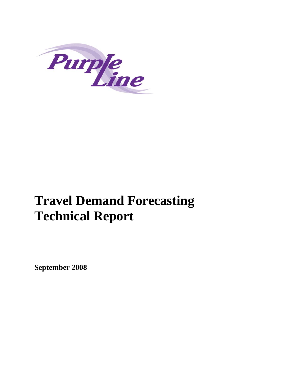

# **Travel Demand Forecasting Technical Report**

**September 2008**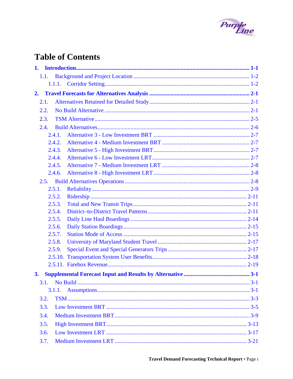

# **Table of Contents**

| 1. |         |  |
|----|---------|--|
|    | 1.1.    |  |
|    | 1.1.1.  |  |
| 2. |         |  |
|    | 2.1.    |  |
|    | 2.2.    |  |
|    | 2.3.    |  |
|    | 2.4.    |  |
|    | 2.4.1.  |  |
|    | 2.4.2.  |  |
|    | 2.4.3.  |  |
|    | 2.4.4.  |  |
|    | 2.4.5.  |  |
|    | 2.4.6.  |  |
|    | 2.5.    |  |
|    | 2.5.1.  |  |
|    | 2.5.2.  |  |
|    | 2.5.3.  |  |
|    | 2.5.4.  |  |
|    | 2.5.5.  |  |
|    | 2.5.6.  |  |
|    | 2.5.7.  |  |
|    | 2.5.8.  |  |
|    | 2.5.9.  |  |
|    | 2.5.10. |  |
|    |         |  |
| 3. |         |  |
|    | 3.1.    |  |
|    |         |  |
|    | 3.2.    |  |
|    | 3.3.    |  |
|    | 3.4.    |  |
|    | 3.5.    |  |
|    | 3.6.    |  |
|    |         |  |
|    | 3.7.    |  |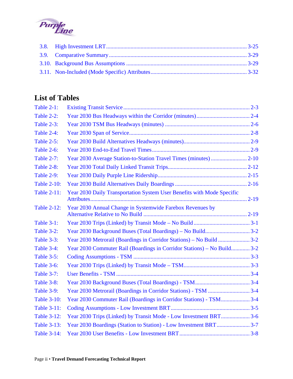

# **List of Tables**

| <b>Table 2-1:</b>  |                                                                         |  |
|--------------------|-------------------------------------------------------------------------|--|
| <b>Table 2-2:</b>  |                                                                         |  |
| <b>Table 2-3:</b>  |                                                                         |  |
| Table 2-4:         |                                                                         |  |
| <b>Table 2-5:</b>  |                                                                         |  |
| <b>Table 2-6:</b>  |                                                                         |  |
| <b>Table 2-7:</b>  |                                                                         |  |
| Table 2-8:         |                                                                         |  |
| <b>Table 2-9:</b>  |                                                                         |  |
| <b>Table 2-10:</b> |                                                                         |  |
| <b>Table 2-11:</b> | Year 2030 Daily Transportation System User Benefits with Mode Specific  |  |
| <b>Table 2-12:</b> | Year 2030 Annual Change in Systemwide Farebox Revenues by               |  |
| <b>Table 3-1:</b>  |                                                                         |  |
| Table 3-2:         |                                                                         |  |
| <b>Table 3-3:</b>  |                                                                         |  |
| <b>Table 3-4:</b>  | Year 2030 Commuter Rail (Boardings in Corridor Stations) – No Build 3-2 |  |
| <b>Table 3-5:</b>  |                                                                         |  |
| Table 3-6:         |                                                                         |  |
| <b>Table 3-7:</b>  |                                                                         |  |
| Table 3-8:         |                                                                         |  |
| <b>Table 3-9:</b>  |                                                                         |  |
| <b>Table 3-10:</b> | Year 2030 Commuter Rail (Boardings in Corridor Stations) - TSM 3-4      |  |
| <b>Table 3-11:</b> |                                                                         |  |
| <b>Table 3-12:</b> | Year 2030 Trips (Linked) by Transit Mode - Low Investment BRT3-6        |  |
| <b>Table 3-13:</b> |                                                                         |  |
| <b>Table 3-14:</b> |                                                                         |  |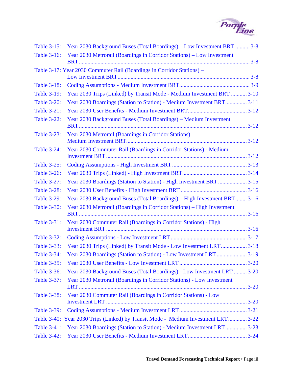

| <b>Table 3-15:</b> | Year 2030 Background Buses (Total Boardings) – Low Investment BRT  3-8            |  |
|--------------------|-----------------------------------------------------------------------------------|--|
| <b>Table 3-16:</b> | Year 2030 Metrorail (Boardings in Corridor Stations) – Low Investment             |  |
|                    |                                                                                   |  |
|                    | Table 3-17: Year 2030 Commuter Rail (Boardings in Corridor Stations) –            |  |
| <b>Table 3-18:</b> |                                                                                   |  |
| <b>Table 3-19:</b> | Year 2030 Trips (Linked) by Transit Mode - Medium Investment BRT  3-10            |  |
| <b>Table 3-20:</b> | Year 2030 Boardings (Station to Station) - Medium Investment BRT3-11              |  |
| <b>Table 3-21:</b> |                                                                                   |  |
| <b>Table 3-22:</b> | Year 2030 Background Buses (Total Boardings) – Medium Investment                  |  |
| <b>Table 3-23:</b> | Year 2030 Metrorail (Boardings in Corridor Stations) -                            |  |
| <b>Table 3-24:</b> | Year 2030 Commuter Rail (Boardings in Corridor Stations) - Medium                 |  |
| <b>Table 3-25:</b> |                                                                                   |  |
| <b>Table 3-26:</b> |                                                                                   |  |
| <b>Table 3-27:</b> |                                                                                   |  |
| <b>Table 3-28:</b> |                                                                                   |  |
| <b>Table 3-29:</b> | Year 2030 Background Buses (Total Boardings) – High Investment BRT 3-16           |  |
| <b>Table 3-30:</b> | Year 2030 Metrorail (Boardings in Corridor Stations) – High Investment            |  |
| <b>Table 3-31:</b> | Year 2030 Commuter Rail (Boardings in Corridor Stations) - High                   |  |
| <b>Table 3-32:</b> |                                                                                   |  |
| <b>Table 3-33:</b> | Year 2030 Trips (Linked) by Transit Mode - Low Investment LRT3-18                 |  |
| <b>Table 3-34:</b> | Year 2030 Boardings (Station to Station) - Low Investment LRT  3-19               |  |
| <b>Table 3-35:</b> |                                                                                   |  |
| <b>Table 3-36:</b> | Year 2030 Background Buses (Total Boardings) - Low Investment LRT  3-20           |  |
| <b>Table 3-37:</b> | Year 2030 Metrorail (Boardings in Corridor Stations) - Low Investment             |  |
| <b>Table 3-38:</b> | Year 2030 Commuter Rail (Boardings in Corridor Stations) - Low                    |  |
| <b>Table 3-39:</b> |                                                                                   |  |
|                    | Table 3-40: Year 2030 Trips (Linked) by Transit Mode - Medium Investment LRT 3-22 |  |
| <b>Table 3-41:</b> | Year 2030 Boardings (Station to Station) - Medium Investment LRT 3-23             |  |
| <b>Table 3-42:</b> |                                                                                   |  |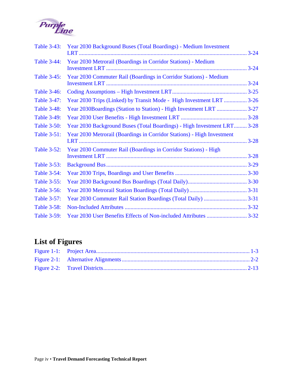

| <b>Table 3-43:</b> | Year 2030 Background Buses (Total Boardings) - Medium Investment        |  |
|--------------------|-------------------------------------------------------------------------|--|
| <b>Table 3-44:</b> | Year 2030 Metrorail (Boardings in Corridor Stations) - Medium           |  |
| <b>Table 3-45:</b> | Year 2030 Commuter Rail (Boardings in Corridor Stations) - Medium       |  |
| <b>Table 3-46:</b> |                                                                         |  |
| <b>Table 3-47:</b> | Year 2030 Trips (Linked) by Transit Mode - High Investment LRT  3-26    |  |
| <b>Table 3-48:</b> | Year 2030Boardings (Station to Station) - High Investment LRT  3-27     |  |
| <b>Table 3-49:</b> |                                                                         |  |
| <b>Table 3-50:</b> | Year 2030 Background Buses (Total Boardings) - High Investment LRT 3-28 |  |
| <b>Table 3-51:</b> | Year 2030 Metrorail (Boardings in Corridor Stations) - High Investment  |  |
| <b>Table 3-52:</b> | Year 2030 Commuter Rail (Boardings in Corridor Stations) - High         |  |
| <b>Table 3-53:</b> |                                                                         |  |
| <b>Table 3-54:</b> |                                                                         |  |
| <b>Table 3-55:</b> |                                                                         |  |
| <b>Table 3-56:</b> |                                                                         |  |
| Table 3-57:        |                                                                         |  |
| <b>Table 3-58:</b> |                                                                         |  |
| <b>Table 3-59:</b> |                                                                         |  |

# **List of Figures**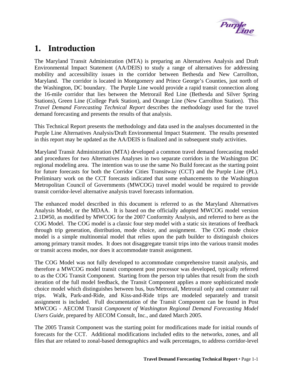

# <span id="page-6-0"></span>**1. Introduction**

The Maryland Transit Administration (MTA) is preparing an Alternatives Analysis and Draft Environmental Impact Statement (AA/DEIS) to study a range of alternatives for addressing mobility and accessibility issues in the corridor between Bethesda and New Carrollton, Maryland. The corridor is located in Montgomery and Prince George's Counties, just north of the Washington, DC boundary. The Purple Line would provide a rapid transit connection along the 16-mile corridor that lies between the Metrorail Red Line (Bethesda and Silver Spring Stations), Green Line (College Park Station), and Orange Line (New Carrollton Station). This *Travel Demand Forecasting Technical Report* describes the methodology used for the travel demand forecasting and presents the results of that analysis.

This Technical Report presents the methodology and data used in the analyses documented in the Purple Line Alternatives Analysis/Draft Environmental Impact Statement. The results presented in this report may be updated as the AA/DEIS is finalized and in subsequent study activities.

Maryland Transit Administration (MTA) developed a common travel demand forecasting model and procedures for two Alternatives Analyses in two separate corridors in the Washington DC regional modeling area. The intention was to use the same No Build forecast as the starting point for future forecasts for both the Corridor Cities Transitway (CCT) and the Purple Line (PL). Preliminary work on the CCT forecasts indicated that some enhancements to the Washington Metropolitan Council of Governments (MWCOG) travel model would be required to provide transit corridor-level alternative analysis travel forecasts information.

The enhanced model described in this document is referred to as the Maryland Alternatives Analysis Model, or the MDAA. It is based on the officially adopted MWCOG model version 2.1D#50, as modified by MWCOG for the 2007 Conformity Analysis, and referred to here as the COG Model. The COG model is a classic four step model with a static six iterations of feedback through trip generation, distribution, mode choice, and assignment. The COG mode choice model is a simple multinomial model that relies upon the path builder to distinguish choices among primary transit modes. It does not disaggregate transit trips into the various transit modes or transit access modes, nor does it accommodate transit assignment.

The COG Model was not fully developed to accommodate comprehensive transit analysis, and therefore a MWCOG model transit component post processor was developed, typically referred to as the COG Transit Component. Starting from the person trip tables that result from the sixth iteration of the full model feedback, the Transit Component applies a more sophisticated mode choice model which distinguishes between bus, bus/Metrorail, Metrorail only and commuter rail trips. Walk, Park-and-Ride, and Kiss-and-Ride trips are modeled separately and transit assignment is included. Full documentation of the Transit Component can be found in Post MWCOG - AECOM Transit *Component of Washington Regional Demand Forecasting Model Users Guide*, prepared by AECOM Consult, Inc., and dated March 2005.

The 2005 Transit Component was the starting point for modifications made for initial rounds of forecasts for the CCT. Additional modifications included edits to the networks, zones, and all files that are related to zonal-based demographics and walk percentages, to address corridor-level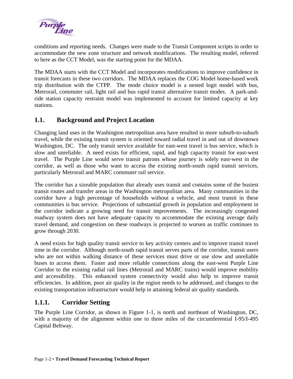<span id="page-7-0"></span>

conditions and reporting needs. Changes were made to the Transit Component scripts in order to accommodate the new zone structure and network modifications. The resulting model, referred to here as the CCT Model, was the starting point for the MDAA.

The MDAA starts with the CCT Model and incorporates modifications to improve confidence in transit forecasts in these two corridors. The MDAA replaces the COG Model home-based work trip distribution with the CTPP. The mode choice model is a nested logit model with bus, Metrorail, commuter rail, light rail and bus rapid transit alternative transit modes. A park-andride station capacity restraint model was implemented to account for limited capacity at key stations.

#### **1.1. Background and Project Location**

Changing land uses in the Washington metropolitan area have resulted in more suburb-to-suburb travel, while the existing transit system is oriented toward radial travel in and out of downtown Washington, DC. The only transit service available for east-west travel is bus service, which is slow and unreliable. A need exists for efficient, rapid, and high capacity transit for east-west travel. The Purple Line would serve transit patrons whose journey is solely east-west in the corridor, as well as those who want to access the existing north-south rapid transit services, particularly Metrorail and MARC commuter rail service.

The corridor has a sizeable population that already uses transit and contains some of the busiest transit routes and transfer areas in the Washington metropolitan area. Many communities in the corridor have a high percentage of households without a vehicle, and most transit in these communities is bus service. Projections of substantial growth in population and employment in the corridor indicate a growing need for transit improvements. The increasingly congested roadway system does not have adequate capacity to accommodate the existing average daily travel demand, and congestion on these roadways is projected to worsen as traffic continues to grow through 2030.

A need exists for high quality transit service to key activity centers and to improve transit travel time in the corridor. Although north-south rapid transit serves parts of the corridor, transit users who are not within walking distance of these services must drive or use slow and unreliable buses to access them. Faster and more reliable connections along the east-west Purple Line Corridor to the existing radial rail lines (Metrorail and MARC trains) would improve mobility and accessibility. This enhanced system connectivity would also help to improve transit efficiencies. In addition, poor air quality in the region needs to be addressed, and changes to the existing transportation infrastructure would help in attaining federal air quality standards.

#### **1.1.1. Corridor Setting**

The Purple Line Corridor, as shown in Figure 1-1, is north and northeast of Washington, DC, with a majority of the alignment within one to three miles of the circumferential I-95/I-495 Capital Beltway.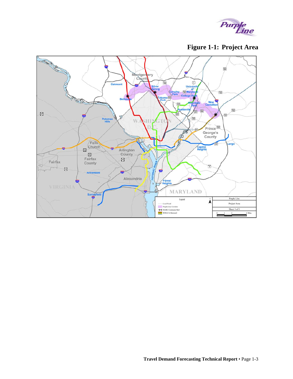

**Figure 1-1: Project Area** 

<span id="page-8-0"></span>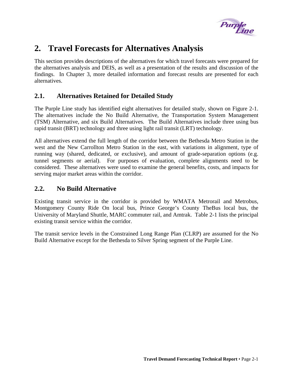

# <span id="page-10-0"></span>**2. Travel Forecasts for Alternatives Analysis**

This section provides descriptions of the alternatives for which travel forecasts were prepared for the alternatives analysis and DEIS, as well as a presentation of the results and discussion of the findings. In Chapter 3, more detailed information and forecast results are presented for each alternatives.

#### **2.1. Alternatives Retained for Detailed Study**

The Purple Line study has identified eight alternatives for detailed study, shown on Figure 2-1. The alternatives include the No Build Alternative, the Transportation System Management (TSM) Alternative, and six Build Alternatives. The Build Alternatives include three using bus rapid transit (BRT) technology and three using light rail transit (LRT) technology.

All alternatives extend the full length of the corridor between the Bethesda Metro Station in the west and the New Carrollton Metro Station in the east, with variations in alignment, type of running way (shared, dedicated, or exclusive), and amount of grade-separation options (e.g. tunnel segments or aerial). For purposes of evaluation, complete alignments need to be considered. These alternatives were used to examine the general benefits, costs, and impacts for serving major market areas within the corridor.

#### **2.2. No Build Alternative**

Existing transit service in the corridor is provided by WMATA Metrorail and Metrobus, Montgomery County Ride On local bus, Prince George's County TheBus local bus, the University of Maryland Shuttle, MARC commuter rail, and Amtrak. Table 2-1 lists the principal existing transit service within the corridor.

The transit service levels in the Constrained Long Range Plan (CLRP) are assumed for the No Build Alternative except for the Bethesda to Silver Spring segment of the Purple Line.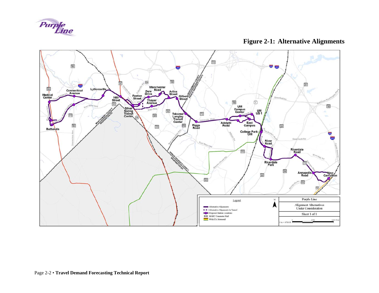

**Figure 2-1: Alternative Alignments** 

<span id="page-11-0"></span>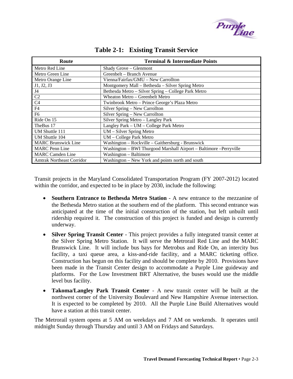

<span id="page-12-0"></span>

| Route                      | <b>Terminal &amp; Intermediate Points</b>                           |
|----------------------------|---------------------------------------------------------------------|
| Metro Red Line             | Shady Grove - Glenmont                                              |
| Metro Green Line           | Greenbelt - Branch Avenue                                           |
| Metro Orange Line          | Vienna/Fairfax/GMU - New Carrollton                                 |
| J1, J2, J3                 | Montgomery Mall – Bethesda – Silver Spring Metro                    |
| J <sub>4</sub>             | Bethesda Metro - Silver Spring - College Park Metro                 |
| C <sub>2</sub>             | Wheaton Metro - Greenbelt Metro                                     |
| C <sub>4</sub>             | Twinbrook Metro - Prince George's Plaza Metro                       |
| F4                         | Silver Spring - New Carrollton                                      |
| F <sub>6</sub>             | Silver Spring - New Carrollton                                      |
| Ride On 15                 | Silver Spring Metro - Langley Park                                  |
| TheBus 17                  | Langley Park - UM - College Park Metro                              |
| UM Shuttle 111             | UM - Silver Spring Metro                                            |
| UM Shuttle 104             | UM - College Park Metro                                             |
| <b>MARC Brunswick Line</b> | Washington - Rockville - Gaithersburg - Brunswick                   |
| <b>MARC</b> Penn Line      | Washington - BWI Thurgood Marshall Airport - Baltimore - Perryville |
| <b>MARC</b> Camden Line    | Washington - Baltimore                                              |
| Amtrak Northeast Corridor  | Washington – New York and points north and south                    |

#### **Table 2-1: Existing Transit Service**

Transit projects in the Maryland Consolidated Transportation Program (FY 2007-2012) located within the corridor, and expected to be in place by 2030, include the following:

- **Southern Entrance to Bethesda Metro Station** A new entrance to the mezzanine of the Bethesda Metro station at the southern end of the platform. This second entrance was anticipated at the time of the initial construction of the station, but left unbuilt until ridership required it. The construction of this project is funded and design is currently underway.
- **Silver Spring Transit Center** This project provides a fully integrated transit center at the Silver Spring Metro Station. It will serve the Metrorail Red Line and the MARC Brunswick Line. It will include bus bays for Metrobus and Ride On, an intercity bus facility, a taxi queue area, a kiss-and-ride facility, and a MARC ticketing office. Construction has begun on this facility and should be complete by 2010. Provisions have been made in the Transit Center design to accommodate a Purple Line guideway and platforms. For the Low Investment BRT Alternative, the buses would use the middle level bus facility.
- **Takoma/Langley Park Transit Center** A new transit center will be built at the northwest corner of the University Boulevard and New Hampshire Avenue intersection. It is expected to be completed by 2010. All the Purple Line Build Alternatives would have a station at this transit center.

The Metrorail system opens at 5 AM on weekdays and 7 AM on weekends. It operates until midnight Sunday through Thursday and until 3 AM on Fridays and Saturdays.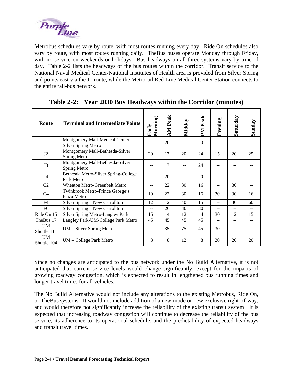<span id="page-13-0"></span>

Metrobus schedules vary by route, with most routes running every day. Ride On schedules also vary by route, with most routes running daily. TheBus buses operate Monday through Friday, with no service on weekends or holidays. Bus headways on all three systems vary by time of day. Table 2-2 lists the headways of the bus routes within the corridor. Transit service to the National Naval Medical Center/National Institutes of Health area is provided from Silver Spring and points east via the J1 route, while the Metrorail Red Line Medical Center Station connects to the entire rail-bus network.

| Route                                          | <b>Terminal and Intermediate Points</b>                       | Morning<br>Early | <b>AM</b> Peak | Midday | PM Peak | Evening | Saturday | Sunday |
|------------------------------------------------|---------------------------------------------------------------|------------------|----------------|--------|---------|---------|----------|--------|
| J1                                             | Montgomery Mall-Medical Center-<br><b>Silver Spring Metro</b> |                  | 20             | --     | 20      |         |          |        |
| J2                                             | Montgomery Mall-Bethesda-Silver<br>Spring Metro               | 20               | 17             | 20     | 24      | 15      | 20       | 25     |
| J3                                             | Montgomery Mall-Bethesda-Silver<br>Spring Metro               | --               | 17             |        | 24      |         | --       |        |
| J4                                             | Bethesda Metro-Silver Spring-College<br>Park Metro            | $-$              | 20             |        | 20      |         |          |        |
| C <sub>2</sub>                                 | Wheaton Metro-Greenbelt Metro                                 | --               | 22             | 30     | 16      |         | 30       |        |
| C <sub>4</sub>                                 | Twinbrook Metro-Prince George's<br>Plaza Metro                | 10               | 22             | 30     | 16      | 30      | 30       | 16     |
| F <sub>4</sub>                                 | Silver Spring - New Carrollton                                | 12               | 12             | 40     | 15      | $-1$    | 30       | 60     |
| F <sub>6</sub>                                 | Silver Spring - New Carrollton                                | $-$              | 20             | 40     | 30      | $- -$   | $-$      | $-$    |
| Ride On 15<br>Silver Spring Metro-Langley Park |                                                               | 15               | $\overline{4}$ | 12     | 4       | 30      | 12       | 15     |
| TheBus 17                                      | Langley Park-UM-College Park Metro                            | 45               | 45             | 45     | 45      | $-$     | $-1$     |        |
| <b>UM</b><br>Shuttle 111                       | UM – Silver Spring Metro                                      | --               | 35             | 75     | 45      | 30      | --       |        |
| <b>UM</b><br>Shuttle 104                       | UM – College Park Metro                                       | 8                | 8              | 12     | 8       | 20      | 20       | 20     |

**Table 2-2: Year 2030 Bus Headways within the Corridor (minutes)** 

Since no changes are anticipated to the bus network under the No Build Alternative, it is not anticipated that current service levels would change significantly, except for the impacts of growing roadway congestion, which is expected to result in lengthened bus running times and longer travel times for all vehicles.

The No Build Alternative would not include any alterations to the existing Metrobus, Ride On, or TheBus systems. It would not include addition of a new mode or new exclusive right-of-way, and would therefore not significantly increase the reliability of the existing transit system. It is expected that increasing roadway congestion will continue to decrease the reliability of the bus service, its adherence to its operational schedule, and the predictability of expected headways and transit travel times.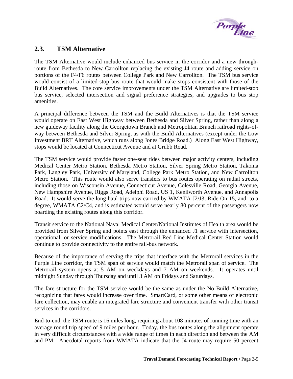

#### <span id="page-14-0"></span>**2.3. TSM Alternative**

The TSM Alternative would include enhanced bus service in the corridor and a new throughroute from Bethesda to New Carrollton replacing the existing J4 route and adding service on portions of the F4/F6 routes between College Park and New Carrollton. The TSM bus service would consist of a limited-stop bus route that would make stops consistent with those of the Build Alternatives. The core service improvements under the TSM Alternative are limited-stop bus service, selected intersection and signal preference strategies, and upgrades to bus stop amenities.

A principal difference between the TSM and the Build Alternatives is that the TSM service would operate on East West Highway between Bethesda and Silver Spring, rather than along a new guideway facility along the Georgetown Branch and Metropolitan Branch railroad rights-ofway between Bethesda and Silver Spring, as with the Build Alternatives (except under the Low Investment BRT Alternative, which runs along Jones Bridge Road.) Along East West Highway, stops would be located at Connecticut Avenue and at Grubb Road.

The TSM service would provide faster one-seat rides between major activity centers, including Medical Center Metro Station, Bethesda Metro Station, Silver Spring Metro Station, Takoma Park, Langley Park, University of Maryland, College Park Metro Station, and New Carrollton Metro Station. This route would also serve transfers to bus routes operating on radial streets, including those on Wisconsin Avenue, Connecticut Avenue, Colesville Road, Georgia Avenue, New Hampshire Avenue, Riggs Road, Adelphi Road, US 1, Kenilworth Avenue, and Annapolis Road. It would serve the long-haul trips now carried by WMATA J2/J3, Ride On 15, and, to a degree, WMATA C2/C4, and is estimated would serve nearly 80 percent of the passengers now boarding the existing routes along this corridor.

Transit service to the National Naval Medical Center/National Institutes of Health area would be provided from Silver Spring and points east through the enhanced J1 service with intersection, operational, or service modifications. The Metrorail Red Line Medical Center Station would continue to provide connectivity to the entire rail-bus network.

Because of the importance of serving the trips that interface with the Metrorail services in the Purple Line corridor, the TSM span of service would match the Metrorail span of service. The Metrorail system opens at 5 AM on weekdays and 7 AM on weekends. It operates until midnight Sunday through Thursday and until 3 AM on Fridays and Saturdays.

The fare structure for the TSM service would be the same as under the No Build Alternative, recognizing that fares would increase over time. SmartCard, or some other means of electronic fare collection, may enable an integrated fare structure and convenient transfer with other transit services in the corridors.

End-to-end, the TSM route is 16 miles long, requiring about 108 minutes of running time with an average round trip speed of 9 miles per hour. Today, the bus routes along the alignment operate in very difficult circumstances with a wide range of times in each direction and between the AM and PM. Anecdotal reports from WMATA indicate that the J4 route may require 50 percent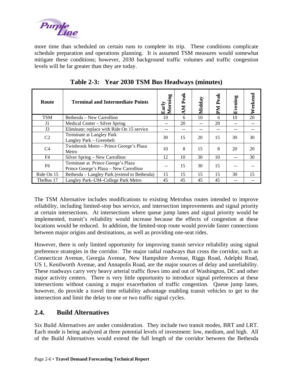<span id="page-15-0"></span>

more time than scheduled on certain runs to complete its trip. These conditions complicate schedule preparation and operations planning. It is assumed TSM measures would somewhat mitigate these conditions; however, 2030 background traffic volumes and traffic congestion levels will be far greater than they are today.

| Route          | <b>Terminal and Intermediate Points</b>                                      | Morning<br>Early | Peak<br>MN | Midday | Peak<br><b>Nd</b> | Evening | Weekend |
|----------------|------------------------------------------------------------------------------|------------------|------------|--------|-------------------|---------|---------|
| <b>TSM</b>     | Bethesda – New Carrollton                                                    | 10               | 6          | 10     | 6                 | 10      | 20      |
| J1             | Medical Center – Silver Spring                                               |                  | 20         | --     | 20                | --      |         |
| J3             | Eliminate; replace with Ride On 15 service                                   |                  | --         | --     |                   | --      |         |
| C2             | Terminate at Langley Park<br>Langley Park – Greenbelt                        | 30               | 15         | 20     | 15                | 30      | 30      |
| C <sub>4</sub> | Twinbrook Metro – Prince George's Plaza<br>Metro                             | 10               | 8          | 15     | 8                 | 20      | 20      |
| F4             | Silver Spring - New Carrollton                                               | 12               | 10         | 30     | 10                | --      | 30      |
| F <sub>6</sub> | Terminate at Prince George's Plaza<br>Prince George's Plaza - New Carrollton |                  | 15         | 30     | 15                | --      |         |
| Ride On 15     | Bethesda – Langley Park (extend to Bethesda)                                 | 15               | 15         | 15     | 15                | 30      | 15      |
| TheBus 17      | Langley Park-UM-College Park Metro                                           | 45               | 45         | 45     | 45                |         |         |

**Table 2-3: Year 2030 TSM Bus Headways (minutes)** 

The TSM Alternative includes modifications to existing Metrobus routes intended to improve reliability, including limited-stop bus service, and intersection improvements and signal priority at certain intersections. At intersections where queue jump lanes and signal priority would be implemented, transit's reliability would increase because the effects of congestion at these locations would be reduced. In addition, the limited-stop route would provide faster connections between major origins and destinations, as well as providing one-seat rides.

However, there is only limited opportunity for improving transit service reliability using signal preference strategies in the corridor. The major radial roadways that cross the corridor, such as Connecticut Avenue, Georgia Avenue, New Hampshire Avenue, Riggs Road, Adelphi Road, US 1, Kenilworth Avenue, and Annapolis Road, are the major sources of delay and unreliability. These roadways carry very heavy arterial traffic flows into and out of Washington, DC and other major activity centers. There is very little opportunity to introduce signal preferences at these intersections without causing a major exacerbation of traffic congestion. Queue jump lanes, however, do provide a travel time reliability advantage enabling transit vehicles to get to the intersection and limit the delay to one or two traffic signal cycles.

#### **2.4. Build Alternatives**

Six Build Alternatives are under consideration. They include two transit modes, BRT and LRT. Each mode is being analyzed at three potential levels of investment: low, medium, and high. All of the Build Alternatives would extend the full length of the corridor between the Bethesda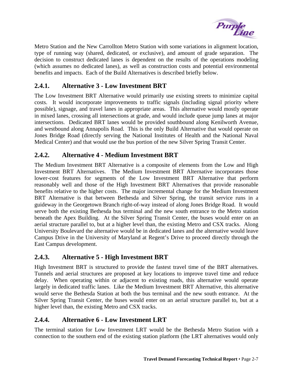

<span id="page-16-0"></span>Metro Station and the New Carrollton Metro Station with some variations in alignment location, type of running way (shared, dedicated, or exclusive), and amount of grade separation. The decision to construct dedicated lanes is dependent on the results of the operations modeling (which assumes no dedicated lanes), as well as construction costs and potential environmental benefits and impacts. Each of the Build Alternatives is described briefly below.

#### **2.4.1. Alternative 3 - Low Investment BRT**

The Low Investment BRT Alternative would primarily use existing streets to minimize capital costs. It would incorporate improvements to traffic signals (including signal priority where possible), signage, and travel lanes in appropriate areas. This alternative would mostly operate in mixed lanes, crossing all intersections at grade, and would include queue jump lanes at major intersections. Dedicated BRT lanes would be provided southbound along Kenilworth Avenue, and westbound along Annapolis Road. This is the only Build Alternative that would operate on Jones Bridge Road (directly serving the National Institutes of Health and the National Naval Medical Center) and that would use the bus portion of the new Silver Spring Transit Center.

#### **2.4.2. Alternative 4 - Medium Investment BRT**

The Medium Investment BRT Alternative is a composite of elements from the Low and High Investment BRT Alternatives. The Medium Investment BRT Alternative incorporates those lower-cost features for segments of the Low Investment BRT Alternative that perform reasonably well and those of the High Investment BRT Alternatives that provide reasonable benefits relative to the higher costs. The major incremental change for the Medium Investment BRT Alternative is that between Bethesda and Silver Spring, the transit service runs in a guideway in the Georgetown Branch right-of-way instead of along Jones Bridge Road. It would serve both the existing Bethesda bus terminal and the new south entrance to the Metro station beneath the Apex Building. At the Silver Spring Transit Center, the buses would enter on an aerial structure parallel to, but at a higher level than, the existing Metro and CSX tracks. Along University Boulevard the alternative would be in dedicated lanes and the alternative would leave Campus Drive in the University of Maryland at Regent's Drive to proceed directly through the East Campus development.

#### **2.4.3. Alternative 5 - High Investment BRT**

High Investment BRT is structured to provide the fastest travel time of the BRT alternatives. Tunnels and aerial structures are proposed at key locations to improve travel time and reduce delay. When operating within or adjacent to existing roads, this alternative would operate largely in dedicated traffic lanes. Like the Medium Investment BRT Alternative, this alternative would serve the Bethesda Station at both the bus terminal and the new south entrance. At the Silver Spring Transit Center, the buses would enter on an aerial structure parallel to, but at a higher level than, the existing Metro and CSX tracks.

#### **2.4.4. Alternative 6 - Low Investment LRT**

The terminal station for Low Investment LRT would be the Bethesda Metro Station with a connection to the southern end of the existing station platform (the LRT alternatives would only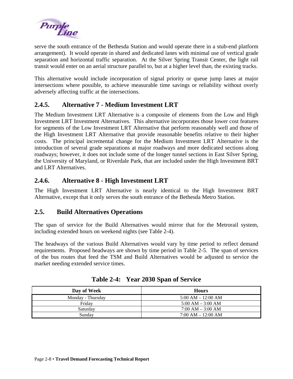<span id="page-17-0"></span>

serve the south entrance of the Bethesda Station and would operate there in a stub-end platform arrangement). It would operate in shared and dedicated lanes with minimal use of vertical grade separation and horizontal traffic separation. At the Silver Spring Transit Center, the light rail transit would enter on an aerial structure parallel to, but at a higher level than, the existing tracks.

This alternative would include incorporation of signal priority or queue jump lanes at major intersections where possible, to achieve measurable time savings or reliability without overly adversely affecting traffic at the intersections.

#### **2.4.5. Alternative 7 - Medium Investment LRT**

The Medium Investment LRT Alternative is a composite of elements from the Low and High Investment LRT Investment Alternatives. This alternative incorporates those lower cost features for segments of the Low Investment LRT Alternative that perform reasonably well and those of the High Investment LRT Alternative that provide reasonable benefits relative to their higher costs. The principal incremental change for the Medium Investment LRT Alternative is the introduction of several grade separations at major roadways and more dedicated sections along roadways; however, it does not include some of the longer tunnel sections in East Silver Spring, the University of Maryland, or Riverdale Park, that are included under the High Investment BRT and LRT Alternatives.

#### **2.4.6. Alternative 8 - High Investment LRT**

The High Investment LRT Alternative is nearly identical to the High Investment BRT Alternative, except that it only serves the south entrance of the Bethesda Metro Station.

#### **2.5. Build Alternatives Operations**

The span of service for the Build Alternatives would mirror that for the Metrorail system, including extended hours on weekend nights (see Table 2-4).

The headways of the various Build Alternatives would vary by time period to reflect demand requirements. Proposed headways are shown by time period in Table 2-5. The span of services of the bus routes that feed the TSM and Build Alternatives would be adjusted to service the market needing extended service times.

| Day of Week       | <b>Hours</b>                        |
|-------------------|-------------------------------------|
| Monday - Thursday | $5:00 AM - 12:00 AM$                |
| Friday            | $5:00 AM - 3:00 AM$                 |
| Saturday          | $7:00 \text{ AM} - 3:00 \text{ AM}$ |
| Sundav            | $7:00 AM - 12:00 AM$                |

**Table 2-4: Year 2030 Span of Service**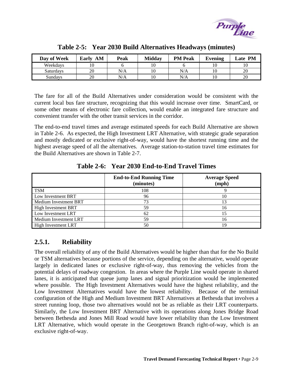

<span id="page-18-0"></span>

| Day of Week | Early<br>AM | Peak | <b>Midday</b> | <b>PM Peak</b> | Evening | <b>Late PM</b> |
|-------------|-------------|------|---------------|----------------|---------|----------------|
| Weekdays    |             |      | 10            |                |         |                |
| Saturdavs   | 20          | N/A  | 10            | N/A            |         | 20             |
| Sundays     | 20          | N/A  | 10            | N/A            |         | 20             |

**Table 2-5: Year 2030 Build Alternatives Headways (minutes)** 

The fare for all of the Build Alternatives under consideration would be consistent with the current local bus fare structure, recognizing that this would increase over time. SmartCard, or some other means of electronic fare collection, would enable an integrated fare structure and convenient transfer with the other transit services in the corridor.

The end-to-end travel times and average estimated speeds for each Build Alternative are shown in Table 2-6. As expected, the High Investment LRT Alternative, with strategic grade separation and mostly dedicated or exclusive right-of-way, would have the shortest running time and the highest average speed of all the alternatives. Average station-to-station travel time estimates for the Build Alternatives are shown in Table 2-7.

|                            | <b>End-to-End Running Time</b><br>(minutes) | <b>Average Speed</b><br>(mph) |
|----------------------------|---------------------------------------------|-------------------------------|
| <b>TSM</b>                 | 108                                         |                               |
| Low Investment BRT         | 96                                          | 10                            |
| Medium Investment BRT      | 73                                          |                               |
| <b>High Investment BRT</b> | 59                                          | 16                            |
| Low Investment LRT         | 62                                          |                               |
| Medium Investment LRT      | 59                                          | 16                            |
| <b>High Investment LRT</b> | 50                                          | 19                            |

**Table 2-6: Year 2030 End-to-End Travel Times** 

#### **2.5.1. Reliability**

The overall reliability of any of the Build Alternatives would be higher than that for the No Build or TSM alternatives because portions of the service, depending on the alternative, would operate largely in dedicated lanes or exclusive right-of-way, thus removing the vehicles from the potential delays of roadway congestion. In areas where the Purple Line would operate in shared lanes, it is anticipated that queue jump lanes and signal prioritization would be implemented where possible. The High Investment Alternatives would have the highest reliability, and the Low Investment Alternatives would have the lowest reliability. Because of the terminal configuration of the High and Medium Investment BRT Alternatives at Bethesda that involves a street running loop, those two alternatives would not be as reliable as their LRT counterparts. Similarly, the Low Investment BRT Alternative with its operations along Jones Bridge Road between Bethesda and Jones Mill Road would have lower reliability than the Low Investment LRT Alternative, which would operate in the Georgetown Branch right-of-way, which is an exclusive right-of-way.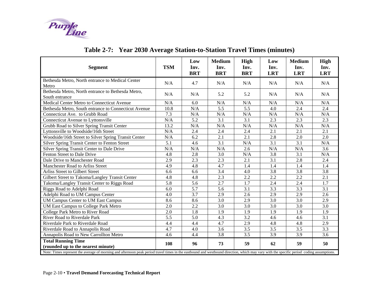

<span id="page-19-0"></span>

| <b>Segment</b>                                                                                                                                                                            | <b>TSM</b> | Low<br>Inv.<br><b>BRT</b> | <b>Medium</b><br>Inv.<br><b>BRT</b> | <b>High</b><br>Inv.<br><b>BRT</b> | Low<br>Inv.<br><b>LRT</b> | <b>Medium</b><br>Inv.<br><b>LRT</b> | <b>High</b><br>Inv.<br><b>LRT</b> |
|-------------------------------------------------------------------------------------------------------------------------------------------------------------------------------------------|------------|---------------------------|-------------------------------------|-----------------------------------|---------------------------|-------------------------------------|-----------------------------------|
| Bethesda Metro, North entrance to Medical Center<br>Metro                                                                                                                                 | N/A        | 4.7                       | N/A                                 | N/A                               | N/A                       | N/A                                 | N/A                               |
| Bethesda Metro, North entrance to Bethesda Metro,<br>South entrance                                                                                                                       | N/A        | N/A                       | 5.2                                 | 5.2                               | N/A                       | N/A                                 | N/A                               |
| Medical Center Metro to Connecticut Avenue                                                                                                                                                | N/A        | 6.0                       | N/A                                 | N/A                               | N/A                       | N/A                                 | N/A                               |
| Bethesda Metro, South entrance to Connecticut Avenue                                                                                                                                      | 10.8       | N/A                       | 5.5                                 | 5.5                               | 4.0                       | 2.4                                 | 2.4                               |
| Connecticut Ave. to Grubb Road                                                                                                                                                            | 7.3        | N/A                       | N/A                                 | N/A                               | N/A                       | N/A                                 | N/A                               |
| Connecticut Avenue to Lyttonsville                                                                                                                                                        | N/A        | 5.2                       | 3.1                                 | 3.1                               | 2.3                       | 2.3                                 | 2.3                               |
| Grubb Road to Silver Spring Transit Center                                                                                                                                                | 13.2       | N/A                       | N/A                                 | N/A                               | N/A                       | N/A                                 | N/A                               |
| Lyttonsville to Woodside/16th Street                                                                                                                                                      | N/A        | 2.4                       | 2.4                                 | 2.4                               | 2.1                       | 2.1                                 | 2.1                               |
| Woodside/16th Street to Silver Spring Transit Center                                                                                                                                      | N/A        | 6.2                       | 2.1                                 | 2.1                               | 2.8                       | 2.0                                 | 2.0                               |
| Silver Spring Transit Center to Fenton Street                                                                                                                                             | 5.1        | 4.6                       | 3.1                                 | N/A                               | 3.1                       | 3.1                                 | N/A                               |
| Silver Spring Transit Center to Dale Drive                                                                                                                                                | N/A        | N/A                       | N/A                                 | 2.6                               | N/A                       | N/A                                 | 3.6                               |
| Fenton Street to Dale Drive                                                                                                                                                               | 4.8        | 2.8                       | 3.0                                 | N/A                               | 3.8                       | 3.1                                 | N/A                               |
| Dale Drive to Manchester Road                                                                                                                                                             | 2.9        | 2.3                       | 2.3                                 | 2.1                               | 3.1                       | 2.8                                 | 2.4                               |
| Manchester Road to Arliss Street                                                                                                                                                          | 4.9        | 4.8                       | 4.7                                 | 1.4                               | 1.4                       | 1.4                                 | 1.4                               |
| Arliss Street to Gilbert Street                                                                                                                                                           | 6.6        | 6.6                       | 3.4                                 | 4.0                               | 3.8                       | 3.8                                 | 3.8                               |
| Gilbert Street to Takoma/Langley Transit Center                                                                                                                                           | 4.8        | 4.8                       | 2.3                                 | 2.2                               | 2.2                       | 2.2                                 | 2.1                               |
| Takoma/Langley Transit Center to Riggs Road                                                                                                                                               | 5.8        | 5.6                       | 2.7                                 | 1.7                               | 2.4                       | 2.4                                 | 1.7                               |
| Riggs Road to Adelphi Road                                                                                                                                                                | 6.0        | 5.7                       | 5.6                                 | 3.1                               | 3.3                       | 3.3                                 | 3.1                               |
| Adelphi Road to UM Campus Center                                                                                                                                                          | 4.0        | 3.7                       | 2.9                                 | 2.6                               | 2.9                       | 2.9                                 | 2.6                               |
| <b>UM Campus Center to UM East Campus</b>                                                                                                                                                 | 8.6        | 8.6                       | 3.0                                 | 2.9                               | 3.0                       | 3.0                                 | 2.9                               |
| UM East Campus to College Park Metro                                                                                                                                                      | 2.0        | 2.2                       | 3.0                                 | 3.0                               | 3.0                       | 3.0                                 | 3.0                               |
| College Park Metro to River Road                                                                                                                                                          | 2.0        | 1.8                       | 1.9                                 | 1.9                               | 1.9                       | 1.9                                 | 1.9                               |
| River Road to Riverdale Park                                                                                                                                                              | 5.5        | 5.0                       | 4.3                                 | 3.2                               | 4.6                       | 4.6                                 | 3.1                               |
| Riverdale Park to Riverdale Road                                                                                                                                                          | 4.4        | 4.4                       | 4.7                                 | 2.9                               | 4.8                       | 4.8                                 | 2.9                               |
| Riverdale Road to Annapolis Road                                                                                                                                                          | 4.7        | 4.0                       | 3.6                                 | 3.5                               | 3.5                       | 3.5                                 | 3.3                               |
| Annapolis Road to New Carrollton Metro                                                                                                                                                    | 4.6        | 4.4                       | 3.8                                 | 3.5                               | 3.9                       | 3.9                                 | 3.6                               |
| <b>Total Running Time</b><br>(rounded up to the nearest minute)                                                                                                                           | 108        | 96                        | 73                                  | 59                                | 62                        | 59                                  | 50                                |
| Note: Times represent the average of morning and afternoon peak period travel times in the eastbound and westbound direction, which may vary with the specific period coding assumptions. |            |                           |                                     |                                   |                           |                                     |                                   |

# **Table 2-7: Year 2030 Average Station-to-Station Travel Times (minutes)**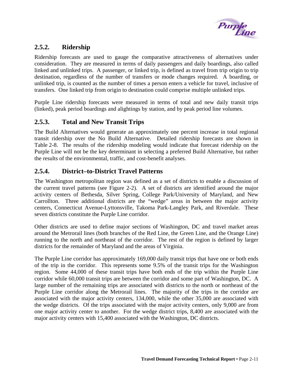

#### <span id="page-20-0"></span>**2.5.2. Ridership**

Ridership forecasts are used to gauge the comparative attractiveness of alternatives under consideration. They are measured in terms of daily passengers and daily boardings, also called linked and unlinked trips. A passenger, or linked trip, is defined as travel from trip origin to trip destination, regardless of the number of transfers or mode changes required. A boarding, or unlinked trip, is counted as the number of times a person enters a vehicle for travel, inclusive of transfers. One linked trip from origin to destination could comprise multiple unlinked trips.

Purple Line ridership forecasts were measured in terms of total and new daily transit trips (linked), peak period boardings and alightings by station, and by peak period line volumes.

#### **2.5.3. Total and New Transit Trips**

The Build Alternatives would generate an approximately one percent increase in total regional transit ridership over the No Build Alternative. Detailed ridership forecasts are shown in Table 2-8. The results of the ridership modeling would indicate that forecast ridership on the Purple Line will not be the key determinant in selecting a preferred Build Alternative, but rather the results of the environmental, traffic, and cost-benefit analyses.

#### **2.5.4. District–to-District Travel Patterns**

The Washington metropolitan region was defined as a set of districts to enable a discussion of the current travel patterns (see Figure 2-2). A set of districts are identified around the major activity centers of Bethesda, Silver Spring, College Park/University of Maryland, and New Carrollton. Three additional districts are the "wedge" areas in between the major activity centers, Connecticut Avenue-Lyttonsville, Takoma Park-Langley Park, and Riverdale. These seven districts constitute the Purple Line corridor.

Other districts are used to define major sections of Washington, DC and travel market areas around the Metrorail lines (both branches of the Red Line, the Green Line, and the Orange Line) running to the north and northeast of the corridor. The rest of the region is defined by larger districts for the remainder of Maryland and the areas of Virginia.

The Purple Line corridor has approximately 169,000 daily transit trips that have one or both ends of the trip in the corridor. This represents some 9.5% of the transit trips for the Washington region. Some 44,000 of these transit trips have both ends of the trip within the Purple Line corridor while 60,000 transit trips are between the corridor and some part of Washington, DC. A large number of the remaining trips are associated with districts to the north or northeast of the Purple Line corridor along the Metrorail lines. The majority of the trips in the corridor are associated with the major activity centers, 134,000, while the other 35,000 are associated with the wedge districts. Of the trips associated with the major activity centers, only 9,000 are from one major activity center to another. For the wedge district trips, 8,400 are associated with the major activity centers with 15,400 associated with the Washington, DC districts.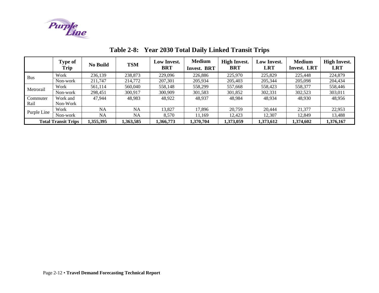

<span id="page-21-0"></span>

|             | <b>Type of</b><br>Trip     | <b>No Build</b> | <b>TSM</b> | Low Invest.<br><b>BRT</b> | <b>Medium</b><br><b>Invest. BRT</b> | <b>High Invest.</b><br><b>BRT</b> | <b>Low Invest.</b><br><b>LRT</b> | <b>Medium</b><br>Invest. LRT | <b>High Invest.</b><br><b>LRT</b> |
|-------------|----------------------------|-----------------|------------|---------------------------|-------------------------------------|-----------------------------------|----------------------------------|------------------------------|-----------------------------------|
| <b>Bus</b>  | Work                       | 236,139         | 238,873    | 229,096                   | 226,886                             | 225,970                           | 225,829                          | 225,448                      | 224,879                           |
|             | Non-work                   | 211,747         | 214,772    | 207,301                   | 205,934                             | 205,403                           | 205,344                          | 205,098                      | 204,434                           |
| Metrorail   | Work                       | 561,114         | 560,040    | 558,148                   | 558.299                             | 557,668                           | 558,423                          | 558,377                      | 558,446                           |
|             | Non-work                   | 298,451         | 300.917    | 300,909                   | 301,583                             | 301,852                           | 302,331                          | 302,523                      | 303,011                           |
| Commuter    | Work and                   | 47.944          | 48,983     | 48,922                    | 48,937                              | 48,984                            | 48,934                           | 48,930                       | 48,956                            |
| Rail        | Non-Work                   |                 |            |                           |                                     |                                   |                                  |                              |                                   |
|             | Work                       | <b>NA</b>       | <b>NA</b>  | 13.827                    | 17,896                              | 20,759                            | 20,444                           | 21,377                       | 22,953                            |
| Purple Line | Non-work                   | <b>NA</b>       | NA         | 8,570                     | 11.169                              | 12,423                            | 12,307                           | 12,849                       | 13,488                            |
|             | <b>Total Transit Trips</b> | 1,355,395       | 1,363,585  | 1,366,773                 | 1.370.704                           | 1,373,059                         | 1,373,612                        | 1,374,602                    | 1,376,167                         |

**Table 2-8: Year 2030 Total Daily Linked Transit Trips**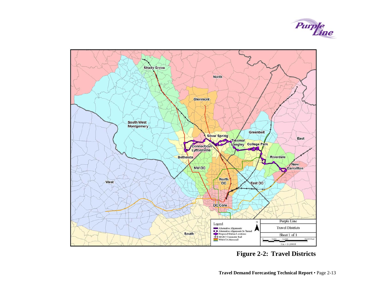

<span id="page-22-0"></span>

**Figure 2-2: Travel Districts**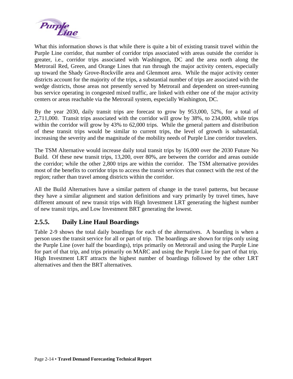<span id="page-23-0"></span>

What this information shows is that while there is quite a bit of existing transit travel within the Purple Line corridor, that number of corridor trips associated with areas outside the corridor is greater, i.e., corridor trips associated with Washington, DC and the area north along the Metrorail Red, Green, and Orange Lines that run through the major activity centers, especially up toward the Shady Grove-Rockville area and Glenmont area. While the major activity center districts account for the majority of the trips, a substantial number of trips are associated with the wedge districts, those areas not presently served by Metrorail and dependent on street-running bus service operating in congested mixed traffic, are linked with either one of the major activity centers or areas reachable via the Metrorail system, especially Washington, DC.

By the year 2030, daily transit trips are forecast to grow by 953,000, 52%, for a total of 2,711,000. Transit trips associated with the corridor will grow by 38%, to 234,000, while trips within the corridor will grow by 43% to 62,000 trips. While the general pattern and distribution of these transit trips would be similar to current trips, the level of growth is substantial, increasing the severity and the magnitude of the mobility needs of Purple Line corridor travelers.

The TSM Alternative would increase daily total transit trips by 16,000 over the 2030 Future No Build. Of these new transit trips, 13,200, over 80%, are between the corridor and areas outside the corridor; while the other 2,800 trips are within the corridor. The TSM alternative provides most of the benefits to corridor trips to access the transit services that connect with the rest of the region; rather than travel among districts within the corridor.

All the Build Alternatives have a similar pattern of change in the travel patterns, but because they have a similar alignment and station definitions and vary primarily by travel times, have different amount of new transit trips with High Investment LRT generating the highest number of new transit trips, and Low Investment BRT generating the lowest.

#### **2.5.5. Daily Line Haul Boardings**

Table 2-9 shows the total daily boardings for each of the alternatives. A boarding is when a person uses the transit service for all or part of trip. The boardings are shown for trips only using the Purple Line (over half the boardings), trips primarily on Metrorail and using the Purple Line for part of that trip, and trips primarily on MARC and using the Purple Line for part of that trip. High Investment LRT attracts the highest number of boardings followed by the other LRT alternatives and then the BRT alternatives.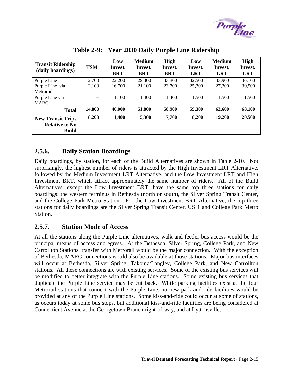

<span id="page-24-0"></span>

| <b>Transit Ridership</b><br>(daily boardings)                     | <b>TSM</b> | Low<br>Invest.<br><b>BRT</b> | <b>Medium</b><br>Invest.<br><b>BRT</b> | High<br>Invest.<br><b>BRT</b> | Low<br>Invest.<br><b>LRT</b> | <b>Medium</b><br>Invest.<br><b>LRT</b> | <b>High</b><br>Invest.<br><b>LRT</b> |
|-------------------------------------------------------------------|------------|------------------------------|----------------------------------------|-------------------------------|------------------------------|----------------------------------------|--------------------------------------|
| Purple Line                                                       | 12.700     | 22,200                       | 29,300                                 | 33,800                        | 32,500                       | 33,900                                 | 36,100                               |
| Purple Line via<br>Metrorail                                      | 2,100      | 16,700                       | 21,100                                 | 23,700                        | 25,300                       | 27,200                                 | 30,500                               |
| Purple Line via<br><b>MARC</b>                                    | $- -$      | 1.100                        | 1.400                                  | 1,400                         | 1,500                        | 1.500                                  | 1,500                                |
| <b>Total</b>                                                      | 14,800     | 40,000                       | 51,800                                 | 58,900                        | 59,300                       | 62,600                                 | 68,100                               |
| <b>New Transit Trips</b><br><b>Relative to No</b><br><b>Build</b> | 8,200      | 11,400                       | 15,300                                 | 17,700                        | 18,200                       | 19,200                                 | 20,500                               |

**Table 2-9: Year 2030 Daily Purple Line Ridership** 

#### **2.5.6. Daily Station Boardings**

Daily boardings, by station, for each of the Build Alternatives are shown in Table 2-10. Not surprisingly, the highest number of riders is attracted by the High Investment LRT Alternative, followed by the Medium Investment LRT Alternative, and the Low Investment LRT and High Investment BRT, which attract approximately the same number of riders. All of the Build Alternatives, except the Low Investment BRT, have the same top three stations for daily boardings: the western terminus in Bethesda (north or south), the Silver Spring Transit Center, and the College Park Metro Station. For the Low Investment BRT Alternative, the top three stations for daily boardings are the Silver Spring Transit Center, US 1 and College Park Metro Station.

#### **2.5.7. Station Mode of Access**

At all the stations along the Purple Line alternatives, walk and feeder bus access would be the principal means of access and egress. At the Bethesda, Silver Spring, College Park, and New Carrollton Stations, transfer with Metrorail would be the major connection. With the exception of Bethesda, MARC connections would also be available at those stations. Major bus interfaces will occur at Bethesda, Silver Spring, Takoma/Langley, College Park, and New Carrollton stations. All these connections are with existing services. Some of the existing bus services will be modified to better integrate with the Purple Line stations. Some existing bus services that duplicate the Purple Line service may be cut back. While parking facilities exist at the four Metrorail stations that connect with the Purple Line, no new park-and-ride facilities would be provided at any of the Purple Line stations. Some kiss-and-ride could occur at some of stations, as occurs today at some bus stops, but additional kiss-and-ride facilities are being considered at Connecticut Avenue at the Georgetown Branch right-of-way, and at Lyttonsville.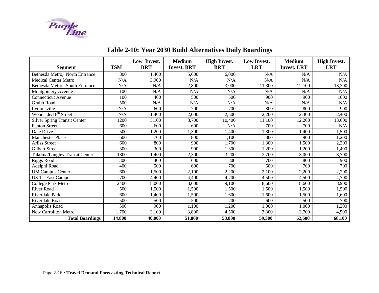

#### <span id="page-25-0"></span>**Segment TSM Low Invest. BRT Medium Invest. BRTHigh Invest. BRT Low Invest. LRT Medium Invest. LRTHigh Invest. LRT** Bethesda Metro, North Entrance 800 1,400 5,600 6,000 N/A N/A N/A Medical Center Metro  $N/A$  3,900 N/A  $N/A$  N/A  $N/A$  N/A N/A N/A N/A N/A N/A Bethesda Metro, South Entrance  $N/A$   $N/A$  2,800 3,000 11,300 12,700 13,300 Montgomery Avenue 100 N/A N/A N/A N/A N/A N/A Connecticut Avenue 100 | 100 | 100 | 500 | 500 | 900 | 900 | 1000 Grubb Road 500 N/A N/A N/A N/A N/A N/ALyttonsville N/A 600 700 700 800 800 900 Woodside/16<sup>th</sup> Street N/A 1,400 2,000 2,500 2,200 2,300 2,400 Silver Spring Transit Center 1200 5,100 8,700 10,400 11,100 12,200 13,600 Fenton Street 600 600 600 N/A 700 700 N/ADale Drive **1** 1,500 1,200 1,300 1,400 1,400 1,400 1,500 Manchester Place 600 700 800 1,100 800 900 1,200 Arliss Street 1.500 | 600 | 800 | 900 | 1,700 | 1,300 | 1,500 | 2,200 Gilbert Street 300 300 900 1,300 1,200 1,200 1,400 Takoma/Langley Transit Center 1300 1,400 2,300 3,200 2,700 3,000 3,700 Riggs Road | 300 | 400 | 600 | 800 | 700 | 800 | 900 Adelphi Road 400 500 600 700 600 700 700 UM Campus Center 600 1,500 2,100 2,200 2,100 2,200 2,200 2,200 2,200 VS 1 – East Campus 700 4,400 4,400 4,700 4,700 4,500 4,500 4,700 4,700 4,700 4,700 4,700 4,700 4,700 4,700 4,700 4,700 4,700 4,700 4,700 4,700 4,700 4,700 4,700 4,700 4,700 4,700 4,700 4,700 4,700 4,700 4,700 4,700 4,700 4 College Park Metro 2400 | 8,000 | 8,600 | 9,100 | 8,600 | 8,900 | 8,900 River Road | 500 | 1,500 | 1,500 | 1,500 | 1,500 | 1,500 | 1,500 Riverdale Park 600 1,400 1,500 1,600 1,600 1,500 1,600 Riverdale Road 500 500 500 700 600 500 700Annapolis Road 500 900 1,100 1,200 1,000 1,000 1,200 New Carrollton Metro 1,700 3,100 3,800 4,500 3,800 3,700 4,500 4,500 **Total Boardings 14,800 40,000 51,800 58,800 59,300 62,600 68,100**

### **Table 2-10: Year 2030 Build Alternatives Daily Boardings**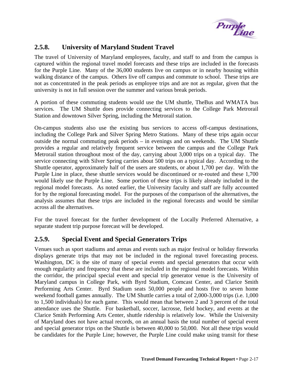

#### <span id="page-26-0"></span>**2.5.8. University of Maryland Student Travel**

The travel of University of Maryland employees, faculty, and staff to and from the campus is captured within the regional travel model forecasts and these trips are included in the forecasts for the Purple Line. Many of the 36,000 students live on campus or in nearby housing within walking distance of the campus. Others live off campus and commute to school. These trips are not as concentrated in the peak periods as employee trips and are not as regular, given that the university is not in full session over the summer and various break periods.

A portion of these commuting students would use the UM shuttle, TheBus and WMATA bus services. The UM Shuttle does provide connecting services to the College Park Metrorail Station and downtown Silver Spring, including the Metrorail station.

On-campus students also use the existing bus services to access off-campus destinations, including the College Park and Silver Spring Metro Stations. Many of these trips again occur outside the normal commuting peak periods – in evenings and on weekends. The UM Shuttle provides a regular and relatively frequent service between the campus and the College Park Metrorail station throughout most of the day, carrying about 3,000 trips on a typical day. The service connecting with Silver Spring carries about 500 trips on a typical day. According to the Shuttle operator, approximately half of the users are students, or about 1,700 per day. With the Purple Line in place, these shuttle services would be discontinued or re-routed and these 1,700 would likely use the Purple Line. Some portion of these trips is likely already included in the regional model forecasts. As noted earlier, the University faculty and staff are fully accounted for by the regional forecasting model. For the purposes of the comparison of the alternatives, the analysis assumes that these trips are included in the regional forecasts and would be similar across all the alternatives.

For the travel forecast for the further development of the Locally Preferred Alternative, a separate student trip purpose forecast will be developed.

#### **2.5.9. Special Event and Special Generators Trips**

Venues such as sport stadiums and arenas and events such as major festival or holiday fireworks displays generate trips that may not be included in the regional travel forecasting process. Washington, DC is the site of many of special events and special generators that occur with enough regularity and frequency that these are included in the regional model forecasts. Within the corridor, the principal special event and special trip generator venue is the University of Maryland campus in College Park, with Byrd Stadium, Comcast Center, and Clarice Smith Performing Arts Center. Byrd Stadium seats 50,000 people and hosts five to seven home weekend football games annually. The UM Shuttle carries a total of 2,000-3,000 trips (i.e. 1,000 to 1,500 individuals) for each game. This would mean that between 2 and 3 percent of the total attendance uses the Shuttle. For basketball, soccer, lacrosse, field hockey, and events at the Clarice Smith Performing Arts Center, shuttle ridership is relatively low. While the University of Maryland does not have actual records, on an annual basis the total number of special event and special generator trips on the Shuttle is between 40,000 to 50,000. Not all these trips would be candidates for the Purple Line; however, the Purple Line could make using transit for these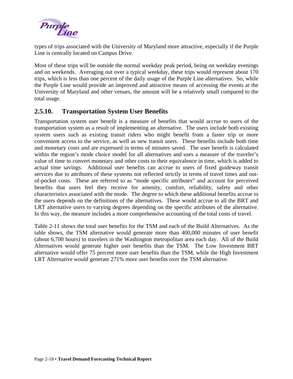<span id="page-27-0"></span>

types of trips associated with the University of Maryland more attractive, especially if the Purple Line is centrally located on Campus Drive.

Most of these trips will be outside the normal weekday peak period, being on weekday evenings and on weekends. Averaging out over a typical weekday, these trips would represent about 170 trips, which is less than one percent of the daily usage of the Purple Line alternatives. So, while the Purple Line would provide an improved and attractive means of accessing the events at the University of Maryland and other venues, the amount will be a relatively small compared to the total usage.

#### **2.5.10. Transportation System User Benefits**

Transportation system user benefit is a measure of benefits that would accrue to users of the transportation system as a result of implementing an alternative. The users include both existing system users such as existing transit riders who might benefit from a faster trip or more convenient access to the service, as well as new transit users. These benefits include both time and monetary costs and are expressed in terms of minutes saved. The user benefit is calculated within the region's mode choice model for all alternatives and uses a measure of the traveler's value of time to convert monetary and other costs to their equivalence in time, which is added to actual time savings. Additional user benefits can accrue to users of fixed guideway transit services due to attributes of these systems not reflected strictly in terms of travel times and outof-pocket costs. These are referred to as "mode specific attributes" and account for perceived benefits that users feel they receive for amenity, comfort, reliability, safety and other characteristics associated with the mode. The degree to which these additional benefits accrue to the users depends on the definitions of the alternatives. These would accrue to all the BRT and LRT alternative users to varying degrees depending on the specific attributes of the alternative. In this way, the measure includes a more comprehensive accounting of the total costs of travel.

Table 2-11 shows the total user benefits for the TSM and each of the Build Alternatives. As the table shows, the TSM alternative would generate more than 400,000 minutes of user benefit (about 6,700 hours) to travelers in the Washington metropolitan area each day. All of the Build Alternatives would generate higher user benefits than the TSM. The Low Investment BRT alternative would offer 75 percent more user benefits than the TSM, while the High Investment LRT Alternative would generate 271% more user benefits over the TSM alternative.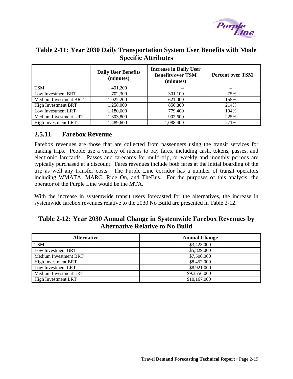

#### <span id="page-28-0"></span>**Table 2-11: Year 2030 Daily Transportation System User Benefits with Mode Specific Attributes**

|                            | <b>Daily User Benefits</b><br>(minutes) | <b>Increase in Daily User</b><br><b>Benefits over TSM</b><br>(minutes) | <b>Percent over TSM</b> |
|----------------------------|-----------------------------------------|------------------------------------------------------------------------|-------------------------|
| <b>TSM</b>                 | 401,200                                 | --                                                                     | --                      |
| Low Investment BRT         | 702,300                                 | 301,100                                                                | 75%                     |
| Medium Investment BRT      | 1,022,200                               | 621,000                                                                | 155%                    |
| <b>High Investment BRT</b> | 1,258,000                               | 856,800                                                                | 214%                    |
| Low Investment LRT         | 1,180,600                               | 779,400                                                                | 194%                    |
| Medium Investment LRT      | 1,303,800                               | 902,600                                                                | 225%                    |
| High Investment LRT        | 1,489,600                               | 1,088,400                                                              | 271%                    |

#### **2.5.11. Farebox Revenue**

Farebox revenues are those that are collected from passengers using the transit services for making trips. People use a variety of means to pay fares, including cash, tokens, passes, and electronic farecards. Passes and farecards for multi-trip, or weekly and monthly periods are typically purchased at a discount. Fares revenues include both fares at the initial boarding of the trip as well any transfer costs. The Purple Line corridor has a number of transit operators including WMATA, MARC, Ride On, and TheBus. For the purposes of this analysis, the operator of the Purple Line would be the MTA.

With the increase in systemwide transit users forecasted for the alternatives, the increase in systemwide farebox revenues relative to the 2030 No Build are presented in Table 2-12.

#### **Table 2-12: Year 2030 Annual Change in Systemwide Farebox Revenues by Alternative Relative to No Build**

| <b>Alternative</b>           | <b>Annual Change</b> |
|------------------------------|----------------------|
| <b>TSM</b>                   | \$3,423,000          |
| Low Investment BRT           | \$5,829,000          |
| <b>Medium Investment BRT</b> | \$7,500,000          |
| <b>High Investment BRT</b>   | \$8,452,000          |
| Low Investment LRT           | \$8,921,000          |
| Medium Investment LRT        | \$9,3556,000         |
| <b>High Investment LRT</b>   | \$10,167,000         |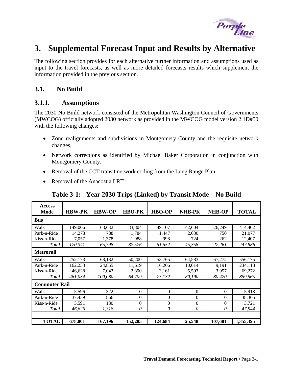

# <span id="page-30-0"></span>**3. Supplemental Forecast Input and Results by Alternative**

The following section provides for each alternative further information and assumptions used as input to the travel forecasts, as well as more detailed forecasts results which supplement the information provided in the previous section.

#### **3.1. No Build**

#### **3.1.1. Assumptions**

The 2030 No Build network consisted of the Metropolitan Washington Council of Governments (MWCOG) officially adopted 2030 network as provided in the MWCOG model version 2.1D#50 with the following changes:

- Zone realignments and subdivisions in Montgomery County and the requisite network changes,
- Network corrections as identified by Michael Baker Corporation in conjunction with Montgomery County,
- Removal of the CCT transit network coding from the Long Range Plan
- Removal of the Anacostia LRT

| <b>Access</b><br><b>Mode</b> | <b>HBW-PK</b> | <b>HBW-OP</b> | <b>HBO-PK</b> | <b>HBO-OP</b>  | <b>NHB-PK</b>  | <b>NHB-OP</b> | <b>TOTAL</b> |
|------------------------------|---------------|---------------|---------------|----------------|----------------|---------------|--------------|
| <b>Bus</b>                   |               |               |               |                |                |               |              |
| Walk                         | 149,006       | 63,632        | 83,804        | 49,107         | 42,604         | 26,249        | 414,402      |
| Park-n-Ride                  | 14,278        | 788           | 1,784         | 1,447          | 2,030          | 750           | 21,077       |
| Kiss-n-Ride                  | 7,057         | 1,378         | 1,988         | 998            | 724            | 262           | 12,407       |
| Total                        | 170,341       | 65,798        | 87,576        | 51,552         | 45,358         | 27,261        | 447,886      |
| <b>Metrorail</b>             |               |               |               |                |                |               |              |
| Walk                         | 252,173       | 68,182        | 50,200        | 53,765         | 64,583         | 67,272        | 556,175      |
| Park-n-Ride                  | 162,233       | 24,855        | 11,619        | 16,206         | 10,014         | 9,191         | 234,118      |
| Kiss-n-Ride                  | 46,628        | 7,043         | 2,890         | 3,161          | 5,593          | 3,957         | 69,272       |
| Total                        | 461,034       | 100,080       | 64,709        | 73,132         | 80,190         | 80,420        | 859,565      |
| <b>Commuter Rail</b>         |               |               |               |                |                |               |              |
| Walk                         | 5,596         | 322           | $\Omega$      | $\theta$       | $\theta$       | $\Omega$      | 5,918        |
| Park-n-Ride                  | 37,439        | 866           | $\Omega$      | $\theta$       | $\theta$       | 0             | 38,305       |
| Kiss-n-Ride                  | 3,591         | 130           | $\Omega$      | $\overline{0}$ | $\overline{0}$ | $\theta$      | 3,721        |
| Total                        | 46.626        | 1,318         | $\theta$      | 0              | 0              | 0             | 47,944       |
|                              |               |               |               |                |                |               |              |
| <b>TOTAL</b>                 | 678,001       | 167,196       | 152,285       | 124,684        | 125,548        | 107,681       | 1,355,395    |

#### **Table 3-1: Year 2030 Trips (Linked) by Transit Mode – No Build**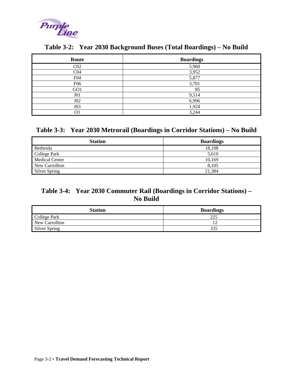<span id="page-31-0"></span>

| Route           | <b>Boardings</b> |
|-----------------|------------------|
| C <sub>02</sub> | 5,960            |
| CO <sub>4</sub> | 3,952            |
| F04             | 5,877            |
| F <sub>06</sub> | 3,701            |
| GO1             | 85               |
| J01             | 9,514            |
| $J_{02}$        | 6,996            |
| J03             | 1,924            |
| O1              | 3,244            |

#### **Table 3-2: Year 2030 Background Buses (Total Boardings) – No Build**

### **Table 3-3: Year 2030 Metrorail (Boardings in Corridor Stations) – No Build**

| <b>Station</b>        | <b>Boardings</b> |
|-----------------------|------------------|
| Bethesda              | 18,108           |
| College Park          | 5.610            |
| <b>Medical Center</b> | 10,169           |
| New Carrollton        | 8.105            |
| Silver Spring         | 21.384           |

## **Table 3-4: Year 2030 Commuter Rail (Boardings in Corridor Stations) – No Build**

| <b>Station</b> | <b>Boardings</b> |
|----------------|------------------|
| College Park   | つつら              |
| New Carrollton |                  |
| Silver Spring  | 335              |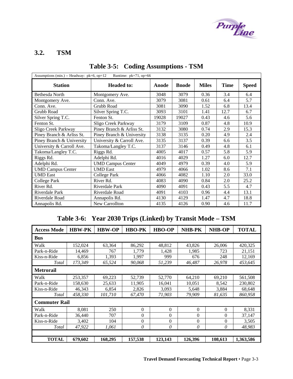

٦

#### <span id="page-32-0"></span>**3.2. TSM**

| Assumptions (min.) -- Headway: $pk=6$ , $op=12$<br>Runtime: $pk=71$ , op=66 |                           |       |              |              |             |              |  |  |  |  |
|-----------------------------------------------------------------------------|---------------------------|-------|--------------|--------------|-------------|--------------|--|--|--|--|
| <b>Station</b>                                                              | <b>Headed to:</b>         | Anode | <b>Bnode</b> | <b>Miles</b> | <b>Time</b> | <b>Speed</b> |  |  |  |  |
| Bethesda North                                                              | Montgomery Ave.           | 3048  | 3079         | 0.36         | 3.4         | 6.4          |  |  |  |  |
| Montgomery Ave.                                                             | Conn. Ave.                | 3079  | 3081         | 0.61         | 6.4         | 5.7          |  |  |  |  |
| Conn. Ave.                                                                  | Grubb Road                | 3081  | 3090         | 1.52         | 6.8         | 13.4         |  |  |  |  |
| Grubb Road                                                                  | Silver Spring T.C.        | 3093  | 3101         | 1.41         | 12.7        | 6.7          |  |  |  |  |
| Silver Spring T.C.                                                          | Fenton St.                | 19028 | 19027        | 0.43         | 4.6         | 5.6          |  |  |  |  |
| Fenton St.                                                                  | Sligo Creek Parkway       | 3179  | 3109         | 0.87         | 4.8         | 10.9         |  |  |  |  |
| Sligo Creek Parkway                                                         | Piney Branch & Arliss St. | 3132  | 3080         | 0.74         | 2.9         | 15.3         |  |  |  |  |
| Piney Branch & Arliss St.                                                   | Piney Branch & University | 3138  | 3135         | 0.20         | 4.9         | 2.4          |  |  |  |  |
| Piney Branch & University                                                   | University & Carroll Ave. | 3135  | 3137         | 0.39         | 6.6         | 3.5          |  |  |  |  |
| University & Carroll Ave.                                                   | Takoma/Langley T.C.       | 3137  | 3146         | 0.49         | 4.8         | 6.1          |  |  |  |  |
| Takoma/Langley T.C.                                                         | Riggs Rd.                 | 4005  | 4017         | 0.57         | 5.8         | 5.9          |  |  |  |  |
| Riggs Rd.                                                                   | Adelphi Rd.               | 4016  | 4029         | 1.27         | 6.0         | 12.7         |  |  |  |  |
| Adelphi Rd.                                                                 | <b>UMD Campus Center</b>  | 4049  | 4979         | 0.39         | 4.0         | 5.9          |  |  |  |  |
| <b>UMD Campus Center</b>                                                    | <b>UMD</b> East           | 4979  | 4066         | 1.02         | 8.6         | 7.1          |  |  |  |  |
| <b>UMD</b> East                                                             | College Park              | 4066  | 4082         | 1.10         | 2.0         | 33.0         |  |  |  |  |
| College Park                                                                | River Rd.                 | 4083  | 4090         | 0.84         | 2.0         | 25.2         |  |  |  |  |
| River Rd.                                                                   | Riverdale Park            | 4090  | 4091         | 0.43         | 5.5         | 4.7          |  |  |  |  |
| Riverdale Park                                                              | Riverdale Road            | 4091  | 4103         | 0.96         | 4.4         | 13.1         |  |  |  |  |
| Riverdale Road                                                              | Annapolis Rd.             | 4130  | 4129         | 1.47         | 4.7         | 18.8         |  |  |  |  |
| Annapolis Rd.                                                               | New Carrollton            | 4135  | 4126         | 0.90         | 4.6         | 11.7         |  |  |  |  |

### **Table 3-5: Coding Assumptions - TSM**

### **Table 3-6: Year 2030 Trips (Linked) by Transit Mode – TSM**

| <b>Access Mode</b>   | <b>HBW-PK</b> | <b>HBW-OP</b> | <b>HBO-PK</b>  | <b>HBO-OP</b> | <b>NHB-PK</b> | <b>NHB-OP</b> | <b>TOTAL</b> |
|----------------------|---------------|---------------|----------------|---------------|---------------|---------------|--------------|
| <b>Bus</b>           |               |               |                |               |               |               |              |
| Walk                 | 152,024       | 63,364        | 86,292         | 48,812        | 43,826        | 26,006        | 420,325      |
| Park-n-Ride          | 14.469        | 767           | 1.779          | 1,428         | 1,985         | 723           | 21,151       |
| Kiss-n-Ride          | 6,856         | 1,393         | 1,997          | 999           | 676           | 248           | 12,169       |
| Total                | 173,349       | 65,524        | 90,068         | 51,239        | 46,487        | 26,978        | 453,645      |
| <b>Metrorail</b>     |               |               |                |               |               |               |              |
| Walk                 | 253.357       | 69,223        | 52,739         | 52,770        | 64,210        | 69,210        | 561,508      |
| Park-n-Ride          | 158,630       | 25,633        | 11,905         | 16,041        | 10,051        | 8,542         | 230,802      |
| Kiss-n-Ride          | 46,343        | 6,854         | 2,826          | 3,093         | 5,648         | 3,884         | 68,648       |
| Total                | 458.330       | 101,710       | 67,470         | 71,903        | 79,909        | 81.635        | 860.958      |
| <b>Commuter Rail</b> |               |               |                |               |               |               |              |
| Walk                 | 8,081         | 250           | $\overline{0}$ | $\theta$      | $\Omega$      | $\Omega$      | 8,331        |
| Park-n-Ride          | 36,440        | 707           | $\theta$       | $\Omega$      | $\theta$      | $\Omega$      | 37.147       |
| Kiss-n-Ride          | 3,402         | 104           | $\theta$       | $\theta$      | $\theta$      | $\theta$      | 3,505        |
| Total                | 47,922        | 1,061         | 0              | 0             | $\theta$      | 0             | 48,983       |
|                      |               |               |                |               |               |               |              |
| <b>TOTAL</b>         | 679,602       | 168,295       | 157,538        | 123,143       | 126,396       | 108,613       | 1,363,586    |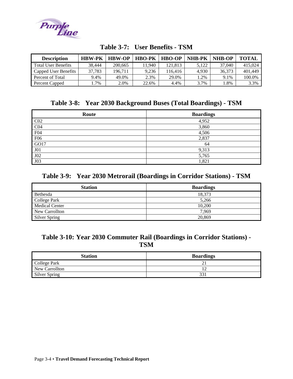<span id="page-33-0"></span>

| <b>Description</b>         | <b>HBW-PK</b> | <b>HBW-OP</b> | <b>HBO-PK</b> | <b>HBO-OP</b> | <b>NHB-PK</b> | <b>NHB-OP</b> | <b>TOTAL</b> |
|----------------------------|---------------|---------------|---------------|---------------|---------------|---------------|--------------|
| <b>Total User Benefits</b> | 38.444        | 200.665       | 1.940         | 121.813       | 5.122         | 37,040        | 415,024      |
| Capped User Benefits       | 37.783        | 196.711       | 9.236         | 116.416       | 4.930         | 36.373        | 401.449      |
| Percent of Total           | 9.4%          | 49.0%         | 2.3%          | 29.0%         | .2%           | 9.1%          | 100.0%       |
| Percent Capped             | $.7\%$        | 2.0%          | 22.6%         | 4.4%          | 3.7%          | .8%           | 3.3%         |

| Table 3-7: User Benefits - TSM |  |  |
|--------------------------------|--|--|
|--------------------------------|--|--|

#### **Table 3-8: Year 2030 Background Buses (Total Boardings) - TSM**

| Route           | <b>Boardings</b> |
|-----------------|------------------|
| CO <sub>2</sub> | 4,952            |
| CO <sub>4</sub> | 3,860            |
| F04             | 4,506            |
| F <sub>06</sub> | 2,837            |
| GO17            | 64               |
| J <sub>01</sub> | 9,313            |
| J02             | 5,765            |
| J03             | 1,821            |

#### **Table 3-9: Year 2030 Metrorail (Boardings in Corridor Stations) - TSM**

| <b>Station</b>        | <b>Boardings</b> |
|-----------------------|------------------|
| Bethesda              | 18.373           |
| College Park          | 5,266            |
| <b>Medical Center</b> | 10,200           |
| New Carrollton        | 7.969            |
| <b>Silver Spring</b>  | 20.869           |

#### **Table 3-10: Year 2030 Commuter Rail (Boardings in Corridor Stations) - TSM**

| <b>Station</b> | <b>Boardings</b> |
|----------------|------------------|
| College Park   |                  |
| New Carrollton |                  |
| Silver Spring  |                  |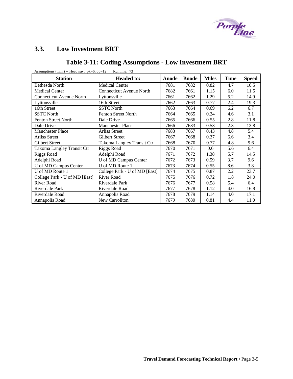

# <span id="page-34-0"></span>**3.3. Low Investment BRT**

# **Table 3-11: Coding Assumptions - Low Investment BRT**

| Assumptions (min.) -- Headway: pk=6, op=12<br>Runtime: 73 |                                 |       |              |              |             |              |  |  |
|-----------------------------------------------------------|---------------------------------|-------|--------------|--------------|-------------|--------------|--|--|
| <b>Station</b>                                            | <b>Headed to:</b>               | Anode | <b>Bnode</b> | <b>Miles</b> | <b>Time</b> | <b>Speed</b> |  |  |
| Bethesda North                                            | <b>Medical Center</b>           | 7681  | 7682         | 0.82         | 4.7         | 10.5         |  |  |
| <b>Medical Center</b>                                     | <b>Connecticut Avenue North</b> | 7682  | 7661         | 1.15         | 6.0         | 11.5         |  |  |
| <b>Connecticut Avenue North</b>                           | Lyttonsville                    | 7661  | 7662         | 1.29         | 5.2         | 14.9         |  |  |
| Lyttonsville                                              | 16th Street                     | 7662  | 7663         | 0.77         | 2.4         | 19.3         |  |  |
| 16th Street                                               | <b>SSTC</b> North               | 7663  | 7664         | 0.69         | 6.2         | 6.7          |  |  |
| <b>SSTC North</b>                                         | <b>Fenton Street North</b>      | 7664  | 7665         | 0.24         | 4.6         | 3.1          |  |  |
| <b>Fenton Street North</b>                                | Dale Drive                      | 7665  | 7666         | 0.55         | 2.8         | 11.8         |  |  |
| Dale Drive                                                | <b>Manchester Place</b>         | 7666  | 7683         | 0.53         | 2.3         | 13.8         |  |  |
| <b>Manchester Place</b>                                   | Arliss Street                   | 7683  | 7667         | 0.43         | 4.8         | 5.4          |  |  |
| <b>Arliss Street</b>                                      | Gilbert Street                  | 7667  | 7668         | 0.37         | 6.6         | 3.4          |  |  |
| Gilbert Street                                            | Takoma Langley Transit Ctr      | 7668  | 7670         | 0.77         | 4.8         | 9.6          |  |  |
| Takoma Langley Transit Ctr                                | <b>Riggs Road</b>               | 7670  | 7671         | 0.6          | 5.6         | 6.4          |  |  |
| <b>Riggs Road</b>                                         | Adelphi Road                    | 7671  | 7672         | 1.38         | 5.7         | 14.5         |  |  |
| Adelphi Road                                              | U of MD Campus Center           | 7672  | 7673         | 0.59         | 3.7         | 9.6          |  |  |
| U of MD Campus Center                                     | U of MD Route 1                 | 7673  | 7674         | 0.55         | 8.6         | 3.8          |  |  |
| U of MD Route 1                                           | College Park - U of MD [East]   | 7674  | 7675         | 0.87         | 2.2         | 23.7         |  |  |
| College Park - U of MD [East]                             | River Road                      | 7675  | 7676         | 0.72         | 1.8         | 24.0         |  |  |
| River Road                                                | Riverdale Park                  | 7676  | 7677         | 0.58         | 5.4         | 6.4          |  |  |
| Riverdale Park                                            | Riverdale Road                  | 7677  | 7678         | 1.12         | 4.0         | 16.8         |  |  |
| Riverdale Road                                            | Annapolis Road                  | 7678  | 7679         | 1.14         | 4.0         | 17.1         |  |  |
| Annapolis Road                                            | New Carrollton                  | 7679  | 7680         | 0.81         | 4.4         | 11.0         |  |  |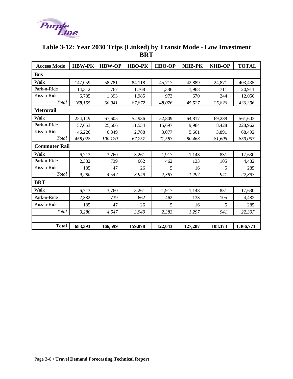<span id="page-35-0"></span>

| <b>Access Mode</b>   | <b>HBW-PK</b> | <b>HBW-OP</b> | <b>HBO-PK</b> | <b>HBO-OP</b> | NHB-PK  | <b>NHB-OP</b> | <b>TOTAL</b> |
|----------------------|---------------|---------------|---------------|---------------|---------|---------------|--------------|
| <b>Bus</b>           |               |               |               |               |         |               |              |
| Walk                 | 147,059       | 58,781        | 84,118        | 45,717        | 42,889  | 24,871        | 403,435      |
| Park-n-Ride          | 14,312        | 767           | 1,768         | 1,386         | 1,968   | 711           | 20,911       |
| Kiss-n-Ride          | 6,785         | 1,393         | 1,985         | 973           | 670     | 244           | 12,050       |
| Total                | 168,155       | 60,941        | 87,872        | 48,076        | 45,527  | 25,826        | 436,396      |
| <b>Metrorail</b>     |               |               |               |               |         |               |              |
| Walk                 | 254,149       | 67,605        | 52,936        | 52,809        | 64,817  | 69,288        | 561,603      |
| Park-n-Ride          | 157,653       | 25,666        | 11,534        | 15,697        | 9,984   | 8,428         | 228,962      |
| Kiss-n-Ride          | 46,226        | 6,849         | 2,788         | 3,077         | 5,661   | 3,891         | 68,492       |
| Total                | 458,028       | 100,120       | 67,257        | 71,583        | 80,463  | 81,606        | 859,057      |
| <b>Commuter Rail</b> |               |               |               |               |         |               |              |
| Walk                 | 6,713         | 3,760         | 3,261         | 1,917         | 1,148   | 831           | 17,630       |
| Park-n-Ride          | 2,382         | 739           | 662           | 462           | 133     | 105           | 4,482        |
| Kiss-n-Ride          | 185           | 47            | 26            | 5             | 16      | 5             | 285          |
| Total                | 9,280         | 4,547         | 3,949         | 2,383         | 1,297   | 941           | 22,397       |
| <b>BRT</b>           |               |               |               |               |         |               |              |
| Walk                 | 6,713         | 3,760         | 3,261         | 1,917         | 1,148   | 831           | 17,630       |
| Park-n-Ride          | 2,382         | 739           | 662           | 462           | 133     | 105           | 4,482        |
| Kiss-n-Ride          | 185           | 47            | 26            | 5             | 16      | 5             | 285          |
| Total                | 9,280         | 4,547         | 3.949         | 2,383         | 1,297   | 941           | 22,397       |
|                      |               |               |               |               |         |               |              |
| <b>Total</b>         | 683,393       | 166,599       | 159,078       | 122,043       | 127,287 | 108,373       | 1,366,773    |

### **Table 3-12: Year 2030 Trips (Linked) by Transit Mode - Low Investment BRT**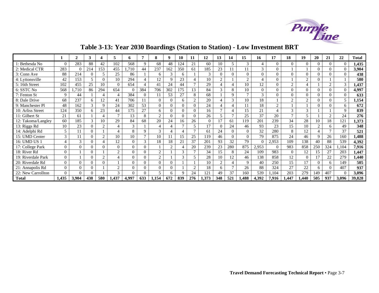

# **Table 3-13: Year 2030 Boardings (Station to Station) - Low Investment BRT**

<span id="page-36-0"></span>

|                    |             | $\mathbf{2}$ | 3        |                | 5              | 6        |          | 8             | 9                        | 10           | 11             | 12            | 13                       | 14           | 15          | 16            | 17             | 18            | 19             | 20            | 21             | 22           | <b>Total</b> |
|--------------------|-------------|--------------|----------|----------------|----------------|----------|----------|---------------|--------------------------|--------------|----------------|---------------|--------------------------|--------------|-------------|---------------|----------------|---------------|----------------|---------------|----------------|--------------|--------------|
| 1: Bethesda No     | $\Omega$    | 283          | 88       | 42             | 102            | 568      | 9        | 68            | 48                       | 124          | 21             | 60            | 10                       | 5            | 3           |               | $\Omega$       | $\Omega$      | $\Omega$       | 0             | $\overline{0}$ | $\theta$     | 1,435        |
| 2: Medical CTR     | 283         | $\Omega$     | 214      | 153            | 455            | 1.710    | 44       | 237           | 162                      | 350          | 61             | 185           | 23                       |              | 11          | $\mathcal{R}$ | $\Omega$       |               |                | $\Omega$      | $\Omega$       | $\mathbf{0}$ | 3,904        |
| 3: Conn Ave        | 88          | 214          |          | 5              | 25             | 86       |          | 6             | 3                        | 6            |                | $\mathcal{R}$ | $\Omega$                 | $\Omega$     | $\Omega$    | $\Omega$      | $\Omega$       | $\Omega$      | $\Omega$       |               | $\Omega$       | $\mathbf{0}$ | 438          |
| 4: Lyttonsville    | 42          | 153          | 5        | $\Omega$       | 10             | 294      |          | 12            | 9                        | 23           |                | 10            | 2                        |              | $\gamma$    |               | $\overline{0}$ |               | $\mathcal{D}$  | 0             |                |              | 580          |
| 5: 16th Street     | 102         | 455          | 25       | 10             | $\theta$       | 654      |          | 41            | 24                       | 44           | $\mathcal{I}$  | 29            | $\overline{4}$           | 4            | 10          | 12            | $\Omega$       | ◠             | $\overline{4}$ |               | $\gamma$       | 3            | 1,437        |
| 6: SSTC No         | 568         | 1,710        | 86       | 294            | 654            | $\Omega$ | 384      | 706           | 302                      | 175          | 13             | 84            | 3                        | 8            | 10          | $\Omega$      | $\Omega$       | $\Omega$      | $\Omega$       | 0             | $\Omega$       | $\Omega$     | 4,997        |
| 7: Fenton St       | $\mathbf Q$ | 44           |          | 4              | $\overline{4}$ | 384      | $\Omega$ |               | 53                       | 27           | 8              | 68            |                          | 9            |             | $\mathcal{R}$ | $\Omega$       | 0             | $\Omega$       | 0             | $\Omega$       | $\Omega$     | 633          |
| 8: Dale Drive      | 68          | 237          | 6        | 12             | 41             | 706      |          | $\Omega$      | $\Omega$                 | 6            | $\overline{c}$ | 20            | 4                        | 3            | 10          | 18            |                | ◠             | $\mathcal{D}$  |               | $\Omega$       | 5            | 1,154        |
| 9: Manchester Pl   | 48          | 162          |          | 9              | 24             | 302      | 53       | $\theta$      | $\Omega$                 | $\Omega$     | $\Omega$       | 24            |                          | 4            | 11          | 18            | $\overline{c}$ |               |                | $\Omega$      | $\Omega$       | 6            | 672          |
| 10: Arliss Street  | 124         | 350          | 6        | 23             | 44             | 175      | 27       | 6             | $\Omega$                 | $\Omega$     | $\Omega$       | 16            |                          | 4            | 15          | 21            |                | $\mathcal{R}$ | 3              |               |                | 9            | 839          |
| 11: Gilbert St     | 21          | 61           |          | 4              | $\mathbf{7}$   | 13       | 8        | 2             | $\Omega$                 | $\Omega$     | $\Omega$       | 26            | $\overline{\phantom{0}}$ | $\mathbf{r}$ | 25          | 37            | 20             |               | 5              |               | $\gamma$       | 24           | 276          |
| 12: Takoma/Langley | 60          | 185          |          | 10             | 29             | 84       | 68       | 20            | 24                       | 16           | 26             | $\Omega$      | 17                       | 61           | 119         | 201           | 239            | 34            | 28             | 10            | 18             | 121          | 1,373        |
| 13: Riggs Rd       | 10          | 23           | 0        | 2              |                | 3        |          |               | $\Delta$                 | $\mathbf{r}$ | 5              | 17            | $\Omega$                 | 24           | 46          | 93            | 23             | 15            | 10             | $\mathcal{D}$ | 6              | 49           | 348          |
| 14: Adelphi Rd     | 5           | 11           | $\theta$ |                | $\overline{4}$ | 8        | 9        | $\mathcal{R}$ | $\overline{\mathcal{A}}$ | $\Delta$     | $\mathcal{I}$  | 61            | 24                       | $\Omega$     | $\Omega$    | 32            | 280            | 8             | 12             |               | $\overline{ }$ | 37           | 521          |
| 15: UMD Center     | 3           | 11           | 0        | 2              | 10             | 10       | $\tau$   | 10            | 11                       | 5            | 25             | 119           | 46                       | $\Omega$     | $\Omega$    | 79            | 875            | 24            | 46             | 9             | 26             | 160          | 1,488        |
| 16: UMD US 1       | 4           | 3            | $\Omega$ | 4              | 12             | $\Omega$ | 3        | 18            | 18                       | 21           | 37             | 201           | 93                       | 32           | 79          |               | 2,953          | 109           | 138            | 40            | 88             | 539          | 4,392        |
| 17: College Park   | $\Omega$    | $\mathbf{0}$ | 0        | $\Omega$       | $\overline{0}$ | $\Omega$ | $\Omega$ |               | 2                        | Δ            | 20             | 239           | 23                       | 280          | 875         | 2,953         | $\Omega$       | 983           | 858            | 250           | 324            | 1.104        | 7,916        |
| 18: River Rd       | $\Omega$    |              | $\Omega$ |                | $\overline{2}$ | $\Omega$ | $\Omega$ | 2             |                          | 3            | $\mathbf{r}$   | 34            | 15                       | 8            | 24          | 109           | 983            | 0             | 12             | 15            | 27             | 203          | 1,447        |
| 19: Riverdale Park | $\Omega$    |              | 0        | $\overline{2}$ |                | $\Omega$ | $\Omega$ | 2             |                          | 3            | 5              | 28            | 10                       | 12           | 46          | 138           | 858            | 12            | $\Omega$       | 17            | 22             | 279          | 1,440        |
| 20: Riverdale Rd   | $\Omega$    | $\Omega$     | $\Omega$ | $\Omega$       |                | $\Omega$ | $\Omega$ | $\Omega$      | $\Omega$                 |              |                | 10            | $\overline{2}$           | $\Delta$     | $\mathbf Q$ | 40            | 250            | 15            | 17             | 0             | 6              | 149          | 505          |
| 21: Annapolis Rd   | $\Omega$    | $\Omega$     | $\Omega$ |                | $\overline{2}$ | $\Omega$ | 0        | $\Omega$      | $\theta$                 |              | $\mathcal{D}$  | 18            | 6                        | $\mathbf{r}$ | 26          | 88            | 324            | 27            | 22             | 6             | $\Omega$       | 407          | 937          |
| 22: New Carrollton | $\Omega$    | $\Omega$     |          |                | 3              | $\Omega$ | 0        | 5             | 6                        | Q            | 24             | 121           | 49                       | 37           | 160         | 539           | 1,104          | 203           | 279            | 149           | 407            | $\Omega$     | 3,096        |
| <b>Total</b>       | 1,435       | 3,904        | 438      | 580            | 1,437          | 4,997    | 633      | 1,154         | 672                      | 839          | 276            | 1,373         | 348                      | 521          | 1,488       | 4,392         | 7,916          | 1,447         | 1.440          | 505           | 937            | 3,096        | 39,828       |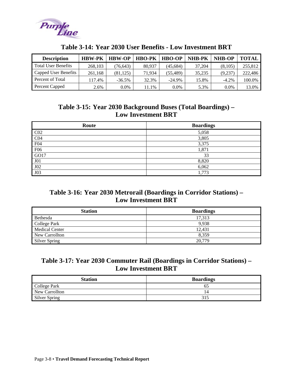<span id="page-37-0"></span>

| <b>Description</b>         | <b>HBW-PK</b> | <b>HBW-OP</b> | <b>HBO-PK</b> | <b>HBO-OP</b> | <b>NHB-PK</b> | NHB-OP  | TOTAL   |
|----------------------------|---------------|---------------|---------------|---------------|---------------|---------|---------|
| <b>Total User Benefits</b> | 268,103       | (76, 643)     | 80.937        | (45,684)      | 37,204        | (8,105) | 255,812 |
| Capped User Benefits       | 261.168       | (81, 125)     | 71.934        | (55,489)      | 35,235        | (9.237  | 222,486 |
| Percent of Total           | 117.4%        | $-36.5%$      | 32.3%         | $-24.9%$      | 15.8%         | $-4.2%$ | 100.0%  |
| Percent Capped             | 2.6%          | 0.0%          | $.1\%$        | $0.0\%$       | 5.3%          | $0.0\%$ | 13.0%   |

#### **Table 3-14: Year 2030 User Benefits - Low Investment BRT**

### **Table 3-15: Year 2030 Background Buses (Total Boardings) – Low Investment BRT**

| Route           | <b>Boardings</b> |
|-----------------|------------------|
| CO <sub>2</sub> | 5,058            |
| CO <sub>4</sub> | 3,805            |
| F04             | 3,375            |
| F <sub>06</sub> | 1,871            |
| GO17            | 33               |
| J <sub>01</sub> | 8,820            |
| J <sub>02</sub> | 6,062            |
| J03             | ,773             |

#### **Table 3-16: Year 2030 Metrorail (Boardings in Corridor Stations) – Low Investment BRT**

| <b>Station</b>        | <b>Boardings</b> |
|-----------------------|------------------|
| Bethesda              | 17.313           |
| College Park          | 9.938            |
| <b>Medical Center</b> | 12.431           |
| New Carrollton        | 8.359            |
| Silver Spring         | 20,779           |

#### **Table 3-17: Year 2030 Commuter Rail (Boardings in Corridor Stations) – Low Investment BRT**

| <b>Station</b>       | <b>Boardings</b> |
|----------------------|------------------|
| College Park         |                  |
| New Carrollton       |                  |
| <b>Silver Spring</b> | 315              |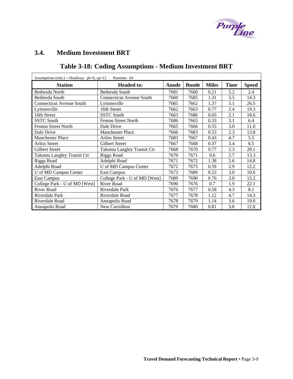

### <span id="page-38-0"></span>**3.4. Medium Investment BRT**

# **Table 3-18: Coding Assumptions - Medium Investment BRT**

| Assumptions (min.) -- Headway: $pk=6$ , $op=12$<br>Runtime: 64 |                                 |       |              |              |             |              |  |  |  |
|----------------------------------------------------------------|---------------------------------|-------|--------------|--------------|-------------|--------------|--|--|--|
| <b>Station</b>                                                 | <b>Headed to:</b>               | Anode | <b>Bnode</b> | <b>Miles</b> | <b>Time</b> | <b>Speed</b> |  |  |  |
| Bethesda North                                                 | Bethesda South                  | 7681  | 7660         | 0.21         | 5.2         | 2.4          |  |  |  |
| Bethesda South                                                 | <b>Connecticut Avenue South</b> | 7660  | 7685         | 1.31         | 5.5         | 14.3         |  |  |  |
| <b>Connecticut Avenue South</b>                                | Lyttonsville                    | 7685  | 7662         | 1.37         | 3.1         | 26.5         |  |  |  |
| Lyttonsville                                                   | 16th Street                     | 7662  | 7663         | 0.77         | 2.4         | 19.3         |  |  |  |
| 16th Street                                                    | <b>SSTC South</b>               | 7663  | 7686         | 0.65         | 2.1         | 18.6         |  |  |  |
| <b>SSTC South</b>                                              | <b>Fenton Street North</b>      | 7686  | 7665         | 0.33         | 3.1         | 6.4          |  |  |  |
| <b>Fenton Street North</b>                                     | Dale Drive                      | 7665  | 7666         | 0.55         | 3.0         | 11.0         |  |  |  |
| Dale Drive                                                     | <b>Manchester Place</b>         | 7666  | 7683         | 0.53         | 2.3         | 13.8         |  |  |  |
| <b>Manchester Place</b>                                        | <b>Arliss Street</b>            | 7683  | 7667         | 0.43         | 4.7         | 5.5          |  |  |  |
| <b>Arliss Street</b>                                           | <b>Gilbert Street</b>           | 7667  | 7668         | 0.37         | 3.4         | 6.5          |  |  |  |
| Gilbert Street                                                 | Takoma Langley Transit Ctr      | 7668  | 7670         | 0.77         | 2.3         | 20.1         |  |  |  |
| Takoma Langley Transit Ctr                                     | <b>Riggs Road</b>               | 7670  | 7671         | 0.6          | 2.7         | 13.3         |  |  |  |
| <b>Riggs Road</b>                                              | Adelphi Road                    | 7671  | 7672         | 1.38         | 5.6         | 14.8         |  |  |  |
| Adelphi Road                                                   | U of MD Campus Center           | 7672  | 7673         | 0.59         | 2.9         | 12.2         |  |  |  |
| U of MD Campus Center                                          | <b>East Campus</b>              | 7673  | 7689         | 0.53         | 3.0         | 10.6         |  |  |  |
| <b>East Campus</b>                                             | College Park - U of MD [West]   | 7689  | 7690         | 0.76         | 3.0         | 15.2         |  |  |  |
| College Park - U of MD [West]                                  | River Road                      | 7690  | 7676         | 0.7          | 1.9         | 22.1         |  |  |  |
| <b>River Road</b>                                              | Riverdale Park                  | 7676  | 7677         | 0.58         | 4.3         | 8.1          |  |  |  |
| Riverdale Park                                                 | Riverdale Road                  | 7677  | 7678         | 1.12         | 4.7         | 14.3         |  |  |  |
| Riverdale Road                                                 | Annapolis Road                  | 7678  | 7679         | 1.14         | 3.6         | 19.0         |  |  |  |
| Annapolis Road                                                 | New Carrollton                  | 7679  | 7680         | 0.81         | 3.8         | 12.8         |  |  |  |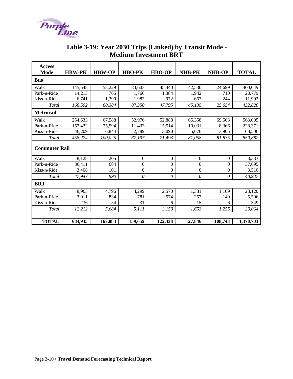<span id="page-39-0"></span>

|                       |               |               | ivieaium investment BK i |               |              |               |              |
|-----------------------|---------------|---------------|--------------------------|---------------|--------------|---------------|--------------|
| <b>Access</b><br>Mode | <b>HBW-PK</b> | <b>HBW-OP</b> | <b>HBO-PK</b>            | <b>HBO-OP</b> | NHB-PK       | <b>NHB-OP</b> | <b>TOTAL</b> |
| Bus                   |               |               |                          |               |              |               |              |
| Walk                  | 145,548       | 58,229        | 83,603                   | 45,440        | 42,530       | 24,699        | 400,049      |
| Park-n-Ride           | 14,213        | 765           | 1,766                    | 1,384         | 1,942        | 710           | 20,779       |
| Kiss-n-Ride           | 6,741         | 1,390         | 1,982                    | 972           | 663          | 244           | 11,992       |
| Total                 | 166,502       | 60,384        | 87,350                   | 47,795        | 45,135       | 25,654        | 432,820      |
| Metrorail             |               |               |                          |               |              |               |              |
| Walk                  | 254,633       | 67,588        | 52,976                   | 52,888        | 65,358       | 69,563        | 563,005      |
| Park-n-Ride           | 157,432       | 25,594        | 11,433                   | 15,514        | 10,031       | 8,366         | 228,371      |
| Kiss-n-Ride           | 46,209        | 6,844         | 2,789                    | 3,090         | 5,670        | 3,905         | 68,506       |
| Total                 | 458,274       | 100,025       | 67,197                   | 71,493        | 81,058       | 81,835        | 859,882      |
| <b>Commuter Rail</b>  |               |               |                          |               |              |               |              |
| Walk                  | 8,128         | 205           | $\mathbf{0}$             | $\mathbf{0}$  | $\Omega$     | $\Omega$      | 8,333        |
| Park-n-Ride           | 36,411        | 684           | $\boldsymbol{0}$         | $\Omega$      | $\Omega$     | $\Omega$      | 37,095       |
| Kiss-n-Ride           | 3,408         | 101           | $\boldsymbol{0}$         | $\mathbf{0}$  | $\mathbf{0}$ | $\Omega$      | 3,510        |
| Total                 | 47,947        | 990           | $\theta$                 | 0             | $\theta$     | 0             | 48,937       |

#### **Table 3-19: Year 2030 Trips (Linked) by Transit Mode - Medium Investment BRT**

| <b>BRT</b>   |         |         |         |         |         |         |           |
|--------------|---------|---------|---------|---------|---------|---------|-----------|
| Walk         | 8,965   | 4,796   | 4,299   | 2,570   | 1,381   | 1,109   | 23,120    |
| Park-n-Ride  | 3,011   | 834     | 781     | 574     | 257     | 140     | 5,596     |
| Kiss-n-Ride  | 236     | 54      | 31      | 6       | 15      | 6       | 349       |
| Total        | 12,212  | 5,684   | 5,111   | 3,150   | 1,653   | 1,255   | 29,064    |
|              |         |         |         |         |         |         |           |
| <b>TOTAL</b> | 684,935 | 167,083 | 159,659 | 122,438 | 127,846 | 108,743 | 1,370,703 |
|              |         |         |         |         |         |         |           |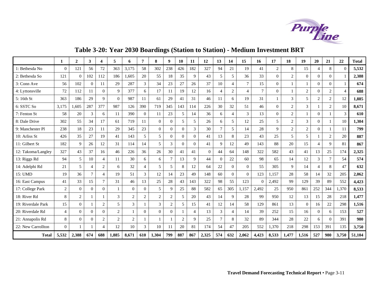

**Table 3-20: Year 2030 Boardings (Station to Station) - Medium Investment BRT** 

<span id="page-40-0"></span>

|                    | -1             | $\mathbf{2}$   | 3              | $\overline{\mathbf{4}}$ | 5              | 6              | 7              | 8              | 9              | <b>10</b>      | 11             | 12       | 13             | 14             | 15             | 16             | 17             | 18             | 19               | <b>20</b>      | 21             | 22             | <b>Total</b> |
|--------------------|----------------|----------------|----------------|-------------------------|----------------|----------------|----------------|----------------|----------------|----------------|----------------|----------|----------------|----------------|----------------|----------------|----------------|----------------|------------------|----------------|----------------|----------------|--------------|
| 1: Bethesda No     | $\Omega$       | 121            | 56             | 72                      | 363            | 3,175          | 58             | 302            | 238            | 426            | 182            | 327      | 94             | 21             | 19             | 41             | $\overline{2}$ | 8              | 15               | 4              | 8              | $\Omega$       | 5,532        |
| 2: Bethesda So     | 121            | $\overline{0}$ | 102            | 112                     | 186            | 1.605          | 20             | 55             | 18             | 35             | 9              | 43       | 5              | 5              | 36             | 33             | $\Omega$       | $\mathfrak{2}$ | $\mathbf{0}$     | $\Omega$       | $\Omega$       |                | 2,388        |
| 3: Conn Ave        | 56             | 102            | $\Omega$       | 11                      | 29             | 287            | $\mathfrak{Z}$ | 34             | 23             | 27             | 26             | 37       | 10             | $\overline{4}$ | $\tau$         | 15             | $\theta$       | $\mathbf{1}$   | $\mathbf{1}$     | $\Omega$       | $\Omega$       |                | 674          |
| 4: Lyttonsville    | 72             | 112            | 11             | $\Omega$                | 9              | 377            | 6              | 17             | 11             | 19             | 12             | 16       | $\overline{4}$ | $\overline{2}$ | $\overline{4}$ | $\overline{7}$ | $\Omega$       |                | $\boldsymbol{2}$ | $\Omega$       | $\overline{c}$ | $\overline{4}$ | 688          |
| 5: 16th St         | 363            | 186            | 29             | $\mathbf Q$             | $\Omega$       | 987            | 11             | 61             | 29             | 41             | 31             | 46       | 11             | 6              | 19             | 31             |                | 3              | 5                | 2              | $\overline{c}$ | 12             | 1,885        |
| 6: SSTC So         | 3,175          | 1,605          | 287            | 377                     | 987            | 126            | 390            | 719            | 345            | 143            | 114            | 226      | 30             | 32             | 51             | 46             | $\mathbf{0}$   | $\overline{2}$ | 3                |                | $\overline{c}$ | 10             | 8.671        |
| 7: Fenton St       | 58             | 20             | 3              | 6                       | 11             | 390            | $\Omega$       | 11             | 23             | 5              | 14             | 36       | 6              | $\overline{4}$ | 3              | 13             | $\Omega$       | $\overline{2}$ |                  | $\Omega$       |                | 3              | 610          |
| 8: Dale Drive      | 302            | 55             | 34             | 17                      | 61             | 719            | 11             | $\overline{0}$ | $\mathbf{0}$   | 5              | 5              | 26       | 6              | 5              | 12             | 25             | 5              | 2              | 3                | $\overline{0}$ |                | 10             | 1,304        |
| 9: Manchester Pl   | 238            | 18             | 23             | 11                      | 29             | 345            | 23             | $\Omega$       | $\mathbf{0}$   | $\Omega$       | 3              | 30       | $\tau$         | 5              | 14             | 28             | $\mathbf{Q}$   | 2              | 2                | $\overline{0}$ | 1              | 11             | 799          |
| 10: Arliss St      | 426            | 35             | 27             | 19                      | 41             | 143            | 5              | 5              | $\mathbf{0}$   | $\overline{0}$ | $\mathbf{0}$   | 41       | 13             | 8              | 23             | 43             | 25             | 5              | 5                |                | 2              | 20             | 887          |
| 11: Gilbert St     | 182            | 9              | 26             | 12                      | 31             | 114            | 14             | 5              | 3              | $\theta$       | $\Omega$       | 41       | 9              | 12             | 49             | 143            | 88             | 20             | 15               | $\overline{4}$ | 9              | 81             | 867          |
| 12: Takoma/Langley | 327            | 43             | 37             | 16                      | 46             | 226            | 36             | 26             | 30             | 41             | 41             | $\theta$ | 44             | 64             | 148            | 322            | 582            | 43             | 41               | 13             | 25             | 174            | 2,325        |
| 13: Riggs Rd       | 94             | 5              | 10             | $\overline{4}$          | 11             | 30             | 6              | 6              | $\overline{7}$ | 13             | 9              | 44       | $\theta$       | 22             | 60             | 98             | 65             | 14             | 12               | 3              | $\tau$         | 54             | 574          |
| 14: Adelphi Rd     | 21             | $\overline{5}$ | $\overline{4}$ | $\overline{c}$          | 6              | 32             | $\overline{4}$ | 5              | 5              | 8              | 12             | 64       | 22             | $\Omega$       | $\Omega$       | 55             | 305            | $\mathbf Q$    | 14               | $\overline{4}$ | 8              | 47             | 632          |
| 15: UMD            | 19             | 36             | $\tau$         | $\overline{4}$          | 19             | 51             | $\overline{3}$ | 12             | 14             | 23             | 49             | 148      | 60             | $\Omega$       | $\Omega$       | 123            | 1.157          | 28             | 58               | 14             | 32             | 205            | 2,062        |
| 16: East Campus    | 41             | 33             | 15             | $\overline{7}$          | 31             | 46             | 13             | 25             | 28             | 43             | 143            | 322      | 98             | 55             | 123            | $\Omega$       | 2,492          | 99             | 129              | 39             | 89             | 552            | 4,423        |
| 17: College Park   | $\overline{2}$ | $\Omega$       | $\Omega$       | $\Omega$                | $\mathbf{1}$   | $\Omega$       | $\theta$       | $\mathfrak{F}$ | $\mathbf Q$    | 25             | 88             | 582      | 65             | 305            | 1,157          | 2,492          | 25             | 950            | 861              | 252            | 344            | 1,370          | 8,533        |
| 18: River Rd       | 8              | $\overline{2}$ |                |                         | $\overline{3}$ | $\mathbf{2}$   | $\overline{2}$ | $\overline{2}$ | 2              | 5              | 20             | 43       | 14             | 9              | 28             | 99             | 950            | 12             | 13               | 15             | 28             | 218            | 1,477        |
| 19: Riverdale Park | 15             | $\theta$       |                | $\mathbf{2}$            | 5              | 3              |                | $\mathfrak{Z}$ | $\overline{2}$ | 5              | 15             | 41       | 12             | 14             | 58             | 129            | 861            | 13             | $\overline{0}$   | 16             | 22             | 298            | 1,516        |
| 20: Riverdale Rd   | $\overline{4}$ | $\overline{0}$ | $\Omega$       | $\overline{0}$          | $\sqrt{2}$     |                | $\Omega$       | $\mathbf{0}$   | $\mathbf{0}$   |                | $\overline{4}$ | 13       | 3              | $\overline{4}$ | 14             | 39             | 252            | 15             | 16               | $\Omega$       | 6              | 153            | 527          |
| 21: Annapolis Rd   | 8              | $\theta$       | $\Omega$       | $\overline{c}$          | $\overline{2}$ | $\overline{2}$ |                |                |                | $\overline{2}$ | 9              | 25       | $\tau$         | 8              | 32             | 89             | 344            | 28             | 22               | 6              | $\Omega$       | 391            | 980          |
| 22: New Carrollton | $\Omega$       |                |                | $\overline{4}$          | 12             | 10             | 3              | 10             | 11             | 20             | 81             | 174      | 54             | 47             | 205            | 552            | 1,370          | 218            | 298              | 153            | 391            | 135            | 3,750        |
| <b>Total</b>       | 5,532          | 2,388          | 674            | 688                     | 1,885          | 8,671          | 610            | 1,304          | 799            | 887            | 867            | 2,325    | 574            | 632            | 2,062          | 4,423          | 8,533          | 1,477          | 1,516            | 527            | 980            | 3,750          | 51,104       |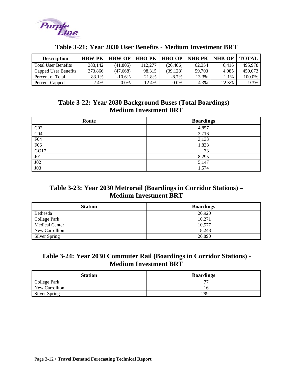<span id="page-41-0"></span>

| <b>Description</b>         | <b>HBW-PK</b> | <b>HBW-OP</b> | <b>HBO-PK</b> | <b>HBO-OP</b> | <b>NHB-PK</b> | <b>NHB-OP</b> | <b>TOTAL</b> |
|----------------------------|---------------|---------------|---------------|---------------|---------------|---------------|--------------|
| <b>Total User Benefits</b> | 383.142       | (41,805)      | 112,277       | (26.406)      | 62.354        | 6.416         | 495.978      |
| Capped User Benefits       | 373.866       | (47,668)      | 98.315        | (39.128)      | 59.703        | 4.985         | 450,073      |
| Percent of Total           | 83.1%         | $-10.6\%$     | 21.8%         | $-8.7\%$      | 13.3%         | 1.1%          | 100.0%       |
| Percent Capped             | 2.4%          | 0.0%          | 12.4%         | $0.0\%$       | 4.3%          | 22.3%         | 9.3%         |

#### **Table 3-21: Year 2030 User Benefits - Medium Investment BRT**

#### **Table 3-22: Year 2030 Background Buses (Total Boardings) – Medium Investment BRT**

| Route           | <b>Boardings</b> |
|-----------------|------------------|
| CO <sub>2</sub> | 4,857            |
| CO <sub>4</sub> | 3,716            |
| F <sub>04</sub> | 3,133            |
| F <sub>06</sub> | 1,838            |
| GO17            | 33               |
| J01             | 8,295            |
| J02             | 5,147            |
| J03             | 1,574            |

#### **Table 3-23: Year 2030 Metrorail (Boardings in Corridor Stations) – Medium Investment BRT**

| <b>Station</b>        | <b>Boardings</b> |
|-----------------------|------------------|
| Bethesda              | 20.920           |
| College Park          | 10.271           |
| <b>Medical Center</b> | 10.577           |
| New Carrollton        | 8.248            |
| <b>Silver Spring</b>  | 20,890           |

### **Table 3-24: Year 2030 Commuter Rail (Boardings in Corridor Stations) - Medium Investment BRT**

| <b>Station</b>       | <b>Boardings</b> |
|----------------------|------------------|
| College Park         |                  |
| New Carrollton       |                  |
| <b>Silver Spring</b> | 299              |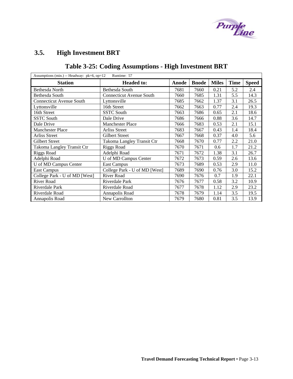

### <span id="page-42-0"></span>**3.5. High Investment BRT**

# **Table 3-25: Coding Assumptions - High Investment BRT**

| Assumptions (min.) -- Headway: $pk=6$ , $op=12$ | Runtime: 57                     |       |              |              |             |              |
|-------------------------------------------------|---------------------------------|-------|--------------|--------------|-------------|--------------|
| <b>Station</b>                                  | <b>Headed to:</b>               | Anode | <b>Bnode</b> | <b>Miles</b> | <b>Time</b> | <b>Speed</b> |
| Bethesda North                                  | Bethesda South                  | 7681  | 7660         | 0.21         | 5.2         | 2.4          |
| Bethesda South                                  | <b>Connecticut Avenue South</b> | 7660  | 7685         | 1.31         | 5.5         | 14.3         |
| <b>Connecticut Avenue South</b>                 | Lyttonsville                    | 7685  | 7662         | 1.37         | 3.1         | 26.5         |
| Lyttonsville                                    | 16th Street                     | 7662  | 7663         | 0.77         | 2.4         | 19.3         |
| 16th Street                                     | <b>SSTC South</b>               | 7663  | 7686         | 0.65         | 2.1         | 18.6         |
| <b>SSTC South</b>                               | Dale Drive                      | 7686  | 7666         | 0.88         | 3.6         | 14.7         |
| Dale Drive                                      | <b>Manchester Place</b>         | 7666  | 7683         | 0.53         | 2.1         | 15.1         |
| Manchester Place                                | <b>Arliss Street</b>            | 7683  | 7667         | 0.43         | 1.4         | 18.4         |
| <b>Arliss Street</b>                            | Gilbert Street                  | 7667  | 7668         | 0.37         | 4.0         | 5.6          |
| <b>Gilbert Street</b>                           | Takoma Langley Transit Ctr      | 7668  | 7670         | 0.77         | 2.2         | 21.0         |
| Takoma Langley Transit Ctr                      | Riggs Road                      | 7670  | 7671         | 0.6          | 1.7         | 21.2         |
| <b>Riggs Road</b>                               | Adelphi Road                    | 7671  | 7672         | 1.38         | 3.1         | 26.7         |
| Adelphi Road                                    | U of MD Campus Center           | 7672  | 7673         | 0.59         | 2.6         | 13.6         |
| U of MD Campus Center                           | <b>East Campus</b>              | 7673  | 7689         | 0.53         | 2.9         | 11.0         |
| <b>East Campus</b>                              | College Park - U of MD [West]   | 7689  | 7690         | 0.76         | 3.0         | 15.2         |
| College Park - U of MD [West]                   | <b>River Road</b>               | 7690  | 7676         | 0.7          | 1.9         | 22.1         |
| River Road                                      | Riverdale Park                  | 7676  | 7677         | 0.58         | 3.2         | 10.9         |
| Riverdale Park                                  | Riverdale Road                  | 7677  | 7678         | 1.12         | 2.9         | 23.2         |
| Riverdale Road                                  | Annapolis Road                  | 7678  | 7679         | 1.14         | 3.5         | 19.5         |
| Annapolis Road                                  | New Carrollton                  | 7679  | 7680         | 0.81         | 3.5         | 13.9         |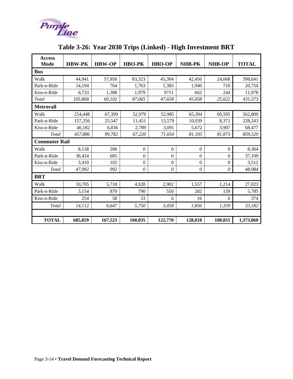<span id="page-43-0"></span>

| <b>Access</b><br><b>Mode</b> | <b>HBW-PK</b> | <b>HBW-OP</b> | <b>HBO-PK</b>  | <b>HBO-OP</b>  | <b>NHB-PK</b>    | <b>NHB-OP</b>    | <b>TOTAL</b> |
|------------------------------|---------------|---------------|----------------|----------------|------------------|------------------|--------------|
| <b>Bus</b>                   |               |               |                |                |                  |                  |              |
| Walk                         | 44,941        | 57,950        | 83,323         | 45,304         | 42,456           | 24,668           | 398,641      |
| Park-n-Ride                  | 14,194        | 764           | 1,763          | 1,383          | 1,940            | 710              | 20,754       |
| Kiss-n-Ride                  | 6,733         | 1,388         | 1,979          | 9711           | 662              | 244              | 11,978       |
| Total                        | 165,868       | 60,102        | 87,065         | 47,658         | 45,058           | 25,622           | 431,373      |
| <b>Metrorail</b>             |               |               |                |                |                  |                  |              |
| Walk                         | 254,448       | 67,399        | 52,979         | 52,985         | 65,394           | 69,595           | 562,800      |
| Park-n-Ride                  | 157,256       | 25,547        | 11,451         | 15,579         | 10,039           | 8,371            | 228,243      |
| Kiss-n-Ride                  | 46,182        | 6,836         | 2,789          | 3,091          | 5,672            | 3,907            | 68,477       |
| Total                        | 457,886       | 99,782        | 67,220         | 71,654         | 81,105           | 81,873           | 859,520      |
| <b>Commuter Rail</b>         |               |               |                |                |                  |                  |              |
| Walk                         | 8,158         | 206           | $\overline{0}$ | $\mathbf{0}$   | $\boldsymbol{0}$ | $\Omega$         | 8,364        |
| Park-n-Ride                  | 36,424        | 685           | $\overline{0}$ | $\overline{0}$ | $\Omega$         | $\boldsymbol{0}$ | 37,109       |
| Kiss-n-Ride                  | 3,410         | 102           | $\overline{0}$ | $\overline{0}$ | $\overline{0}$   | $\Omega$         | 3,512        |
| Total                        | 47,992        | 992           | 0              | $\theta$       | $\theta$         | $\theta$         | 48,984       |
| <b>BRT</b>                   |               |               |                |                |                  |                  |              |
| Walk                         | 10,705        | 5,718         | 4,928          | 2,902          | 1,557            | 1,214            | 27,023       |
| Park-n-Ride                  | 3,154         | 870           | 790            | 550            | 282              | 139              | 5,785        |
| Kiss-n-Ride                  | 254           | 58            | 33             | 6              | 16               | 6                | 374          |
| Total                        | 14,112        | 6.647         | 5,750          | 3,458          | 1,856            | 1,359            | 33,182       |
|                              |               |               |                |                |                  |                  |              |
| <b>TOTAL</b>                 | 685,859       | 167,523       | 160,035        | 122,770        | 128,018          | 108,855          | 1,373,060    |

# **Table 3-26: Year 2030 Trips (Linked) - High Investment BRT**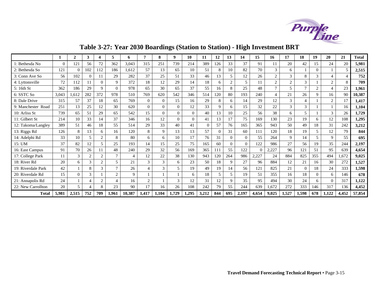

# **Table 3-27: Year 2030 Boardings (Station to Station) - High Investment BRT**

<span id="page-44-0"></span>

|                    |          | ↑              | 3        | 4              | 5              | 6              | 7              | 8        | 9        | 10             | 11       | 12       | 13       | 14       | 15       | 16             | 17             | 18             | 19       | 20             | 21    | <b>Total</b> |
|--------------------|----------|----------------|----------|----------------|----------------|----------------|----------------|----------|----------|----------------|----------|----------|----------|----------|----------|----------------|----------------|----------------|----------|----------------|-------|--------------|
| 1: Bethesda No     | $\Omega$ | 121            | 56       | 72             | 362            | 3.043          | 315            | 251      | 739      | 214            | 389      | 126      | 33       | 37       | 91       | 11             | 20             | 42             | 15       | 24             | 20    | 5,981        |
| 2: Bethesda So     | 121      | $\Omega$       | 102      | 112            | 186            | 1.612          | 57             | 13       | 65       | 10             | 51       | 8        | 10       | 82       | 70       | 3              | 6              |                | $\Omega$ |                | 5     | 2,515        |
| 3: Conn Ave So     | 56       | 102            | $\Omega$ |                | 29             | 282            | 37             | 25       | 51       | 33             | 46       | 13       | 5        | 12       | 26       | 2              | 3              | 8              | 3        | $\overline{4}$ | 4     | 752          |
| 4: Lyttonsville    | 72       | 112            | 11       | $\Omega$       | 9              | 372            | 18             | 12       | 29       | 14             | 18       | 6        | 2        | 5        | 11       | $\overline{2}$ | $\overline{2}$ | 3              |          | $\mathbf{2}$   | 8     | 709          |
| 5: 16th St         | 362      | 186            | 29       | 9              | $\Omega$       | 978            | 65             | 30       | 65       | 37             | 55       | 16       | 8        | 25       | 48       | $\overline{7}$ | 5              | $\mathcal{L}$  | $\Omega$ | $\overline{4}$ | 23    | 1,961        |
| 6: SSTC So         | 3.043    | 1.612          | 282      | 372            | 978            | 510            | 769            | 620      | 542      | 346            | 514      | 120      | 80       | 193      | 240      | $\overline{4}$ | 21             | 26             | 9        | 16             | 90    | 10,387       |
| 8: Dale Drive      | 315      | 57             | 37       | 18             | 65             | 769            | $\Omega$       | $\theta$ | 15       | 16             | 29       | 8        | 6        | 14       | 29       | 12             | 3              | $\overline{4}$ |          | 2              | 17    | 1,417        |
| 9: Manchester Road | 251      | 13             | 25       | 12             | 30             | 620            | $\Omega$       | $\Omega$ | $\Omega$ | 12             | 33       | 9        | 6        | 15       | 32       | 22             | 3              | 3              |          |                | 16    | 1,104        |
| 10: Arliss St      | 739      | 65             | 51       | 29             | 65             | 542            | 15             | $\Omega$ | $\Omega$ | $\theta$       | 40       | 13       | 10       | 25       | 56       | 38             | 6              | 5              |          | 3              | 26    | 1,729        |
| 11: Gilbert St     | 214      | 10             | 33       | 14             | 37             | 346            | 16             | 12       | $\Omega$ | $\overline{0}$ | 41       | 13       | 17       | 75       | 169      | 130            | 23             | 19             | 6        | 12             | 108   | 1,295        |
| 12: Takoma/Langley | 389      | 51             | 46       | 18             | 55             | 514            | 29             | 33       | 40       | 41             | $\Omega$ | 57       | 76       | 165      | 365      | 943            | 50             | 49             | 18       | 31             | 242   | 3,212        |
| 13: Riggs Rd       | 126      | 8              | 13       | 6              | 16             | 120            | 8              | 9        | 13       | 13             | 57       | $\Omega$ | 31       | 60       | 111      | 120            | 18             | 19             | 5        | 12             | 79    | 844          |
| 14: Adelphi Rd     | 33       | 10             | 5        | $\overline{2}$ | 8              | 80             | 6              | 6        | 10       | 17             | 76       | 31       | $\Omega$ | $\Omega$ | 55       | 264            | 9              | 14             | 5        | 9              | 55    | 695          |
| 15: UM             | 37       | 82             | 12       | 5              | 25             | 193            | 14             | 15       | 25       | 75             | 165      | 60       | $\Omega$ | $\Omega$ | 122      | 986            | 27             | 56             | 19       | 35             | 244   | 2,197        |
| 16: East Campus    | 91       | 70             | 26       |                | 48             | 240            | 29             | 32       | 56       | 169            | 365      | 111      | 55       | 122      | $\theta$ | 2,227          | 96             | 121            | 51       | 95             | 639   | 4,654        |
| 17: College Park   | 11       | 3              | 2        | $\overline{2}$ | $\tau$         | $\overline{4}$ | 12             | 22       | 38       | 130            | 943      | 120      | 264      | 986      | 2,227    | 24             | 884            | 825            | 355      | 494            | 1,672 | 9,025        |
| 18: River Rd       | 20       | 6              | 3        | $\overline{c}$ | 5              | 21             | 3              | 3        | 6        | 23             | 50       | 18       | 9        | 27       | 96       | 884            | 12             | 21             | 16       | 30             | 272   | 1,527        |
| 19: Riverdale Park | 42       |                | 8        | 3              | $\overline{7}$ | 26             | $\overline{4}$ | 3        | 5        | 19             | 49       | 19       | 14       | 56       | 121      | 825            | 21             | $\Omega$       | 18       | 24             | 333   | 1,598        |
| 20: Riverdale Rd   | 15       | $\Omega$       | 3        |                | $\overline{2}$ | 9              |                |          |          | 6              | 18       | 5        | 5        | 19       | 51       | 355            | 16             | 18             | $\Omega$ | 6              | 146   | 678          |
| 21: Annapolis Rd   | 24       |                | 4        | $\overline{2}$ | $\overline{4}$ | 16             | 2              |          | 3        | 12             | 31       | 12       | 9        | 35       | 95       | 494            | 30             | 24             | 6        | $\Omega$       | 317   | 1,122        |
| 22: New Carrollton | 20       | $\overline{5}$ | 4        | 8              | 23             | 90             | 17             | 16       | 26       | 108            | 242      | 79       | 55       | 244      | 639      | ,672           | 272            | 333            | 146      | 317            | 136   | 4,452        |
| <b>Total</b>       | 5,981    | 2,515          | 752      | 709            | 1,961          | 10,387         | 1,417          | 1.104    | 1,729    | 1,295          | 3,212    | 844      | 695      | 2,197    | 4,654    | 9,025          | 1,527          | 1,598          | 678      | 1,122          | 4,452 | 57,854       |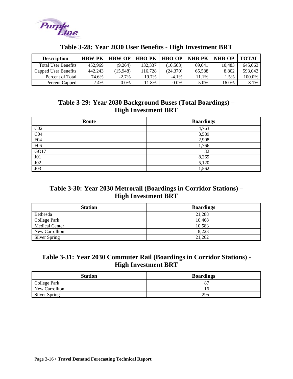<span id="page-45-0"></span>

| <b>Description</b>   | <b>HBW-PK</b> | <b>HBW-OP</b> | <b>HBO-PK</b> | <b>HBO-OP</b> | <b>NHB-PK</b> | <b>NHB-OP</b> | <b>TOTAL</b> |
|----------------------|---------------|---------------|---------------|---------------|---------------|---------------|--------------|
| Total User Benefits  | 452.969       | (9.264)       | 132,337       | (10.503)      | 69.041        | 10.483        | 645.063      |
| Capped User Benefits | 442.243       | (15.948)      | 116.728       | (24.370)      | 65,588        | 8.802         | 593.043      |
| Percent of Total     | 74.6%         | $-2.7\%$      | 19.7%         | $-4.1\%$      | 1.1%          | 1.5%          | 100.0%       |
| Percent Capped       | 2.4%          | 0.0%          | .8%           | $0.0\%$       | 5.0%          | 16.0%         | 8.1%         |

#### **Table 3-28: Year 2030 User Benefits - High Investment BRT**

#### **Table 3-29: Year 2030 Background Buses (Total Boardings) – High Investment BRT**

| Route           | <b>Boardings</b> |
|-----------------|------------------|
| CO <sub>2</sub> | 4,763            |
| CO <sub>4</sub> | 3,589            |
| F04             | 2,908            |
| F <sub>06</sub> | 1,766            |
| GO17            | 32               |
| J <sub>01</sub> | 8,269            |
| J02             | 5,120            |
| J03             | 1,562            |

#### **Table 3-30: Year 2030 Metrorail (Boardings in Corridor Stations) – High Investment BRT**

| <b>Station</b>        | <b>Boardings</b> |
|-----------------------|------------------|
| Bethesda              | 21,288           |
| College Park          | 10,468           |
| <b>Medical Center</b> | 10,583           |
| New Carrollton        | 8,223            |
| Silver Spring         | 21,262           |

#### **Table 3-31: Year 2030 Commuter Rail (Boardings in Corridor Stations) - High Investment BRT**

| <b>Station</b>       | <b>Boardings</b> |
|----------------------|------------------|
| College Park         |                  |
| New Carrollton       |                  |
| <b>Silver Spring</b> | 295              |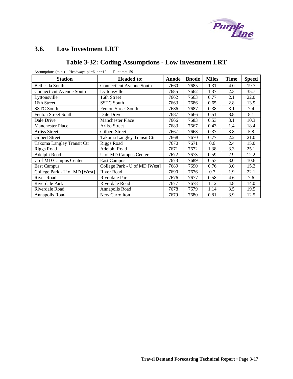

# <span id="page-46-0"></span>**3.6. Low Investment LRT**

# **Table 3-32: Coding Assumptions - Low Investment LRT**

| Assumptions (min.) -- Headway: $pk=6$ , $op=12$<br>Runtime: 59 |                                 |      |              |              |             |              |  |  |  |  |
|----------------------------------------------------------------|---------------------------------|------|--------------|--------------|-------------|--------------|--|--|--|--|
| <b>Station</b><br><b>Headed to:</b>                            |                                 |      | <b>Bnode</b> | <b>Miles</b> | <b>Time</b> | <b>Speed</b> |  |  |  |  |
| Bethesda South                                                 | <b>Connecticut Avenue South</b> | 7660 | 7685         | 1.31         | 4.0         | 19.7         |  |  |  |  |
| <b>Connecticut Avenue South</b>                                | Lyttonsville                    | 7685 | 7662         | 1.37         | 2.3         | 35.7         |  |  |  |  |
| Lyttonsville                                                   | 16th Street                     | 7662 | 7663         | 0.77         | 2.1         | 22.0         |  |  |  |  |
| 16th Street                                                    | <b>SSTC South</b>               | 7663 | 7686         | 0.65         | 2.8         | 13.9         |  |  |  |  |
| <b>SSTC South</b>                                              | <b>Fenton Street South</b>      | 7686 | 7687         | 0.38         | 3.1         | 7.4          |  |  |  |  |
| <b>Fenton Street South</b>                                     | Dale Drive                      | 7687 | 7666         | 0.51         | 3.8         | 8.1          |  |  |  |  |
| Dale Drive                                                     | <b>Manchester Place</b>         | 7666 | 7683         | 0.53         | 3.1         | 10.3         |  |  |  |  |
| <b>Manchester Place</b>                                        | <b>Arliss Street</b>            | 7683 | 7667         | 0.43         | 1.4         | 18.4         |  |  |  |  |
| <b>Arliss Street</b>                                           | <b>Gilbert Street</b>           | 7667 | 7668         | 0.37         | 3.8         | 5.8          |  |  |  |  |
| <b>Gilbert Street</b>                                          | Takoma Langley Transit Ctr      | 7668 | 7670         | 0.77         | 2.2         | 21.0         |  |  |  |  |
| Takoma Langley Transit Ctr                                     | <b>Riggs Road</b>               | 7670 | 7671         | 0.6          | 2.4         | 15.0         |  |  |  |  |
| Riggs Road                                                     | Adelphi Road                    | 7671 | 7672         | 1.38         | 3.3         | 25.1         |  |  |  |  |
| Adelphi Road                                                   | U of MD Campus Center           | 7672 | 7673         | 0.59         | 2.9         | 12.2         |  |  |  |  |
| U of MD Campus Center                                          | <b>East Campus</b>              | 7673 | 7689         | 0.53         | 3.0         | 10.6         |  |  |  |  |
| <b>East Campus</b>                                             | College Park - U of MD [West]   | 7689 | 7690         | 0.76         | 3.0         | 15.2         |  |  |  |  |
| College Park - U of MD [West]                                  | River Road                      | 7690 | 7676         | 0.7          | 1.9         | 22.1         |  |  |  |  |
| <b>River Road</b>                                              | Riverdale Park                  | 7676 | 7677         | 0.58         | 4.6         | 7.6          |  |  |  |  |
| Riverdale Park                                                 | Riverdale Road                  | 7677 | 7678         | 1.12         | 4.8         | 14.0         |  |  |  |  |
| Riverdale Road                                                 | Annapolis Road                  | 7678 | 7679         | 1.14         | 3.5         | 19.5         |  |  |  |  |
| Annapolis Road                                                 | New Carrollton                  | 7679 | 7680         | 0.81         | 3.9         | 12.5         |  |  |  |  |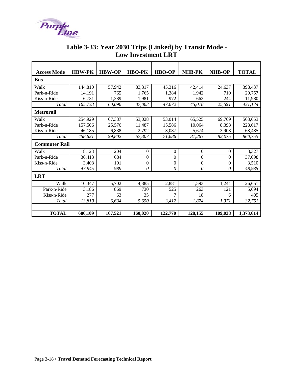<span id="page-47-0"></span>

| <b>Access Mode</b>   | <b>HBW-PK</b> | <b>HBW-OP</b> | <b>HBO-PK</b>    | <b>HBO-OP</b>  | <b>NHB-PK</b>    | <b>NHB-OP</b>  | <b>TOTAL</b> |  |  |  |
|----------------------|---------------|---------------|------------------|----------------|------------------|----------------|--------------|--|--|--|
|                      |               |               |                  |                |                  |                |              |  |  |  |
| <b>Bus</b>           |               |               |                  |                |                  |                |              |  |  |  |
| Walk                 | 144,810       | 57,942        | 83,317           | 45,316         | 42,414           | 24,637         | 398,437      |  |  |  |
| Park-n-Ride          | 14.191        | 765           | 1.765            | 1.384          | 1,942            | 710            | 20,757       |  |  |  |
| Kiss-n-Ride          | 6,731         | 1,389         | 1,981            | 972            | 663              | 244            | 11,980       |  |  |  |
| Total                | 165,733       | 60,096        | 87,063           | 47,672         | 45,018           | 25,591         | 431,174      |  |  |  |
| <b>Metrorail</b>     |               |               |                  |                |                  |                |              |  |  |  |
| Walk                 | 254,929       | 67,387        | 53,028           | 53,014         | 65,525           | 69,769         | 563,653      |  |  |  |
| Park-n-Ride          | 157,506       | 25,576        | 11,487           | 15.586         | 10.064           | 8,398          | 228,617      |  |  |  |
| Kiss-n-Ride          | 46,185        | 6,838         | 2,792            | 3,087          | 5,674            | 3,908          | 68,485       |  |  |  |
| Total                | 458,621       | 99,802        | 67,307           | 71,686         | 81,263           | 82,075         | 860,755      |  |  |  |
| <b>Commuter Rail</b> |               |               |                  |                |                  |                |              |  |  |  |
| Walk                 | 8,123         | 204           | $\overline{0}$   | $\theta$       | $\boldsymbol{0}$ | $\theta$       | 8,327        |  |  |  |
| Park-n-Ride          | 36,413        | 684           | $\theta$         | $\theta$       | $\theta$         | $\theta$       | 37,098       |  |  |  |
| Kiss-n-Ride          | 3,408         | 101           | $\boldsymbol{0}$ | $\overline{0}$ | $\boldsymbol{0}$ | $\overline{0}$ | 3,510        |  |  |  |
| Total                | 47,945        | 989           | 0                | 0              | $\theta$         | 0              | 48,935       |  |  |  |
| <b>LRT</b>           |               |               |                  |                |                  |                |              |  |  |  |
| Walk                 | 10,347        | 5,702         | 4,885            | 2,881          | 1,593            | 1,244          | 26,651       |  |  |  |
| Park-n-Ride          | 3,186         | 869           | 730              | 525            | 263              | 121            | 5,694        |  |  |  |
| Kiss-n-Ride          | 277           | 63            | 35               | 7              | 18               | 6              | 405          |  |  |  |
| Total                | 13,810        | 6,634         | 5,650            | 3,412          | 1,874            | 1,371          | 32,751       |  |  |  |
|                      |               |               |                  |                |                  |                |              |  |  |  |
| <b>TOTAL</b>         | 686,109       | 167,521       | 160,020          | 122,770        | 128,155          | 109,038        | 1,373,614    |  |  |  |

### **Table 3-33: Year 2030 Trips (Linked) by Transit Mode - Low Investment LRT**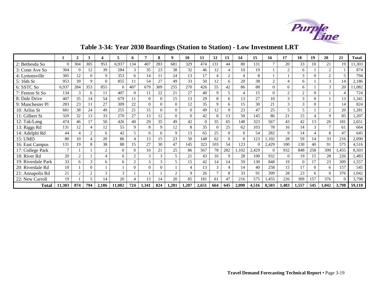

<span id="page-48-0"></span>

|                    |          | $\mathbf{2}$   | 3              |               | 5        | 6        | 7             | 8        | 9.             | 10             | 11       | 12             | 13        | 14       | 15       | 16       | 17             | 18             | 19       | 20             | 21                          | <b>Total</b> |
|--------------------|----------|----------------|----------------|---------------|----------|----------|---------------|----------|----------------|----------------|----------|----------------|-----------|----------|----------|----------|----------------|----------------|----------|----------------|-----------------------------|--------------|
| 2: Bethesda So     | $\Omega$ | 304            | 305            | 953           | 6,937    | 134      | 407           | 283      | 681            | 329            | 474      | 131            | 44        | 80       | 131      |          | 20             | 33             | 10       | 21             | 19                          | 11,303       |
| 3: Conn Ave So     | 304      | $\mathbf{0}$   | 12             | 39            | 284      | 3        | 35            | 23       | 38             | 32             | 46       | 12             |           | 10       | 19       |          | $\overline{2}$ | 6              |          | $\overline{2}$ |                             | 874          |
| 4: Lyttonsville    | 305      | 12             | $\Omega$       | 9             | 353      | 6        | 14            | 11       | 24             | 13             | 17       | $\overline{4}$ | $\bigcap$ |          | 8        |          |                | 3              |          | 2              | 5                           | 794          |
| 5: 16th St         | 953      | 39             | 9              | $\Omega$      | 855      |          | 54            | 27       | 49             | 33             | 50       | 12             | 6         | 20       | 38       | 2        | $\overline{4}$ | 6              |          | $\mathcal{R}$  | 14                          | 2,186        |
| 6: SSTC So         | 6,937    | 284            | 353            | 855           | $\Omega$ | 407      | 679           | 309      | 255            | 270            | 426      | 55             | 42        | 86       | 88       | $\Omega$ | 6              | 6              |          | 3              | 20                          | 11,082       |
| 7: Fenton St So    | 134      | 3              | 6              | 11            | 407      | $\Omega$ | 11            | 22       | 21             | 27             | 40       | 9              | 5         |          | 15       | $\Omega$ | $\overline{2}$ | $\overline{2}$ | 0        |                | $\boldsymbol{\vartriangle}$ | 724          |
| 8: Dale Drive      | 407      | 35             | 14             | 54            | 679      | 11       | $\Omega$      | $\Omega$ | 15             | 13             | 29       | 8              | 6         | 13       | 27       | 10       | 3              | 3              | 0        |                | 13                          | 1,341        |
| 9: Manchester Pl   | 283      | 23             | 11             | 27            | 309      | 22       | $\Omega$      | $\Omega$ | $\overline{0}$ | 12             | 35       | 9              | 6         | 15       | 30       | 21       | 3              | 3              | 0        |                | 14                          | 824          |
| 10: Arliss St      | 681      | 38             | 24             | 49            | 255      | 21       | 15            | $\Omega$ | $\overline{0}$ | $\Omega$       | 49       | 12             | 9         | 23       | 47       | 25       | 5              | 5              |          | $\overline{2}$ | 20                          | 1,281        |
| 11: Gilbert St     | 329      | 32             | 13             | 33            | 270      | 27       | 13            | 12       | $\Omega$       | $\Omega$       | 42       | 8              | 13        | 50       | 145      | 86       | 21             | 15             |          | $\mathbf Q$    | 85                          | 1,207        |
| 12: Tak/Lang       | 474      | 46             | 17             | 50            | 426      | 40       | 29            | 35       | 49             | 42             | $\Omega$ | 35             | 65        | 148      | 323      | 567      | 43             | 42             | 13       | 26             | 181                         | 2,651        |
| 13: Riggs Rd       | 131      | 12             | 4              | 12            | 55       | 9        | 8             | 9        | 12             | 8              | 35       | $\Omega$       | 25        | 62       | 103      | 78       | 16             | 14             |          | $\overline{7}$ | 61                          | 664          |
| 14: Adelphi Rd     | 44       | 4              | $\overline{2}$ | 6             | 42       | 5.       | 6             | 6        | 9              | 13             | 65       | 25             | $\Omega$  | $\Omega$ | 54       | 282      | 9              | 14             |          | 8              | 47                          | 645          |
| 15: UMD            | 80       | 10             | 4              | 20            | 86       |          | 13            | 15       | 23             | 50             | 148      | 62             | $\Omega$  | $\Omega$ | 123      | .102     | 28             | 59             | 14       | 33             | 216                         | 2,090        |
| 16: East Campus    | 131      | 19             | 8              | 38            | 88       | 15       | 27            | 30       | 47             | 145            | 323      | 103            | 54        | 123      | $\Omega$ | 2,429    | 100            | 130            | 40       | 91             | 575                         | 4,516        |
| 17: College Park   |          |                |                | $\mathcal{D}$ | $\Omega$ | 0        | 10            | 21       | 25             | 86             | 567      | 78             | 282       | 1,102    | 2,429    | $\Omega$ | 932            | 848            | 258      | 399            | .455                        | 8,503        |
| 18: River Rd       | 20       | $\overline{2}$ |                | $\Lambda$     | 6        | $\gamma$ | 3             | 3        | 5              | 21             | 43       | 16             | 9         | 28       | 100      | 932      | $\theta$       | 19             | 15       | 28             | 226                         | 1,483        |
| 19: Riverdale Park | 33       | 6              | 3              | 6             | 6        |          | $\mathcal{R}$ | 3        | 5              | 15             | 42       | 14             | 14        | 59       | 130      | 848      | 19             | $\Omega$       |          | 23             | 309                         | 1,557        |
| 20: Riverdale Rd   | 10       |                | $\overline{0}$ |               |          | 0        | $\theta$      | $\Omega$ |                | $\overline{4}$ | 13       | 3              |           | 14       | 40       | 258      | 15             | 17             | $\Omega$ | 6              | 157                         | 545          |
| 21: Annapolis Rd   | 21       | $\overline{2}$ | $\overline{2}$ | 3             | 3        |          |               |          | $\overline{2}$ | $\mathbf Q$    | 26       | $\mathbf{r}$   | 8         | 33       | 91       | 399      | 28             | 23             | 6        | $\Omega$       | 376                         | 1,042        |
| 22: New Carroll    | 19       |                | 5              | 14            | 20       |          | 13            | 14       | 20             | 85             | 181      | 61             | 47        | 216      | 575      | 1,455    | 226            | 309            | 157      | 376            | $\Omega$                    | 3,798        |
| <b>Total</b>       | 11,303   | 874            | 794            | 2,186         | 11,082   | 724      | 1,341         | 824      | 1,281          | 1,207          | 2,651    | 664            | 645       | 2,090    | 4,516    | 8,503    | 1,483          | 1,557          | 545      | 1,042          | 3,798                       | 59,110       |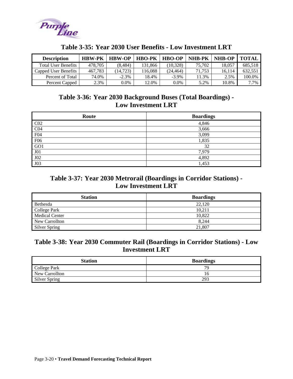<span id="page-49-0"></span>

| <b>Description</b>         | <b>HBW-PK</b> | <b>HBW-OP</b> | <b>HBO-PK</b> | <b>HBO-OP</b> | <b>NHB-PK</b> | <b>NHB-OP</b> | <b>TOTAL</b> |
|----------------------------|---------------|---------------|---------------|---------------|---------------|---------------|--------------|
| <b>Total User Benefits</b> | 478.705       | (8.484)       | 131.866       | (10.328)      | 75,702        | 18.057        | 685,518      |
| Capped User Benefits       | 467.783       | (14.723)      | 116.088       | (24.464)      | 71.753        | 16.114        | 632.551      |
| Percent of Total           | 74.0%         | $-2.3\%$      | 18.4%         | $-3.9\%$      | 11.3%         | 2.5%          | 100.0%       |
| Percent Capped             | 2.3%          | $0.0\%$       | 12.0%         | $0.0\%$       | 5.2%          | 10.8%         | 7.7%         |

#### **Table 3-35: Year 2030 User Benefits - Low Investment LRT**

#### **Table 3-36: Year 2030 Background Buses (Total Boardings) - Low Investment LRT**

| Route           | <b>Boardings</b> |
|-----------------|------------------|
| CO <sub>2</sub> | 4,846            |
| CO <sub>4</sub> | 3,666            |
| F04             | 3,099            |
| F06             | 1,835            |
| GO1             | 32               |
| J <sub>01</sub> | 7,979            |
| J02             | 4,892            |
| J03             | 1,453            |

#### **Table 3-37: Year 2030 Metrorail (Boardings in Corridor Stations) - Low Investment LRT**

| <b>Station</b>        | <b>Boardings</b> |
|-----------------------|------------------|
| Bethesda              | 22,120           |
| College Park          | 10.211           |
| <b>Medical Center</b> | 10,822           |
| New Carrollton        | 8.244            |
| Silver Spring         | 21,807           |

#### **Table 3-38: Year 2030 Commuter Rail (Boardings in Corridor Stations) - Low Investment LRT**

| <b>Station</b> | <b>Boardings</b> |
|----------------|------------------|
| College Park   | 7c               |
| New Carrollton |                  |
| Silver Spring  | 293              |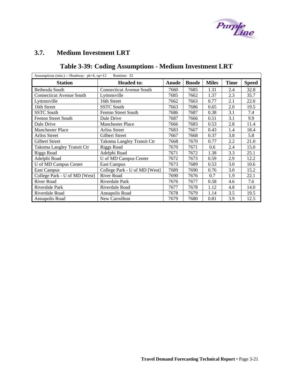

### <span id="page-50-0"></span>**3.7. Medium Investment LRT**

# **Table 3-39: Coding Assumptions - Medium Investment LRT**

| Assumptions (min.) -- Headway: pk=6, op=12<br>Runtime: 52 |                                 |      |      |              |             |              |  |  |  |  |
|-----------------------------------------------------------|---------------------------------|------|------|--------------|-------------|--------------|--|--|--|--|
| <b>Station</b>                                            | <b>Headed to:</b><br>Anode      |      |      | <b>Miles</b> | <b>Time</b> | <b>Speed</b> |  |  |  |  |
| Bethesda South                                            | <b>Connecticut Avenue South</b> | 7660 | 7685 | 1.31         | 2.4         | 32.8         |  |  |  |  |
| <b>Connecticut Avenue South</b>                           | Lyttonsville                    | 7685 | 7662 | 1.37         | 2.3         | 35.7         |  |  |  |  |
| Lyttonsville                                              | 16th Street                     | 7662 | 7663 | 0.77         | 2.1         | 22.0         |  |  |  |  |
| 16th Street                                               | <b>SSTC South</b>               | 7663 | 7686 | 0.65         | 2.0         | 19.5         |  |  |  |  |
| <b>SSTC South</b>                                         | <b>Fenton Street South</b>      | 7686 | 7687 | 0.38         | 3.1         | 7.4          |  |  |  |  |
| <b>Fenton Street South</b>                                | Dale Drive                      | 7687 | 7666 | 0.51         | 3.1         | 9.9          |  |  |  |  |
| Dale Drive                                                | <b>Manchester Place</b>         | 7666 | 7683 | 0.53         | 2.8         | 11.4         |  |  |  |  |
| <b>Manchester Place</b>                                   | Arliss Street                   | 7683 | 7667 | 0.43         | 1.4         | 18.4         |  |  |  |  |
| <b>Arliss Street</b>                                      | <b>Gilbert Street</b>           | 7667 | 7668 | 0.37         | 3.8         | 5.8          |  |  |  |  |
| Gilbert Street                                            | Takoma Langley Transit Ctr      | 7668 | 7670 | 0.77         | 2.2         | 21.0         |  |  |  |  |
| Takoma Langley Transit Ctr                                | <b>Riggs Road</b>               | 7670 | 7671 | 0.6          | 2.4         | 15.0         |  |  |  |  |
| <b>Riggs Road</b>                                         | Adelphi Road                    | 7671 | 7672 | 1.38         | 3.3         | 25.1         |  |  |  |  |
| Adelphi Road                                              | U of MD Campus Center           | 7672 | 7673 | 0.59         | 2.9         | 12.2         |  |  |  |  |
| U of MD Campus Center                                     | <b>East Campus</b>              | 7673 | 7689 | 0.53         | 3.0         | 10.6         |  |  |  |  |
| <b>East Campus</b>                                        | College Park - U of MD [West]   | 7689 | 7690 | 0.76         | 3.0         | 15.2         |  |  |  |  |
| College Park - U of MD [West]                             | River Road                      | 7690 | 7676 | 0.7          | 1.9         | 22.1         |  |  |  |  |
| River Road                                                | Riverdale Park                  | 7676 | 7677 | 0.58         | 4.6         | 7.6          |  |  |  |  |
| Riverdale Park                                            | Riverdale Road                  | 7677 | 7678 | 1.12         | 4.8         | 14.0         |  |  |  |  |
| Riverdale Road                                            | Annapolis Road                  | 7678 | 7679 | 1.14         | 3.5         | 19.5         |  |  |  |  |
| Annapolis Road                                            | <b>New Carrollton</b>           | 7679 | 7680 | 0.81         | 3.9         | 12.5         |  |  |  |  |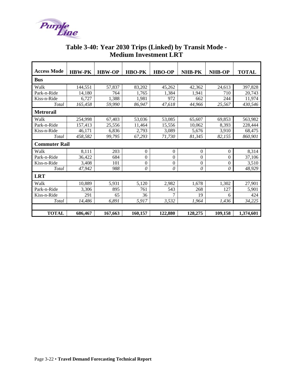<span id="page-51-0"></span>

| <b>Access Mode</b>   | <b>HBW-PK</b> | <b>HBW-OP</b> | <b>HBO-PK</b>    | <b>HBO-OP</b>  | NHB-PK         | <b>NHB-OP</b>    | <b>TOTAL</b> |  |  |  |  |  |  |
|----------------------|---------------|---------------|------------------|----------------|----------------|------------------|--------------|--|--|--|--|--|--|
| <b>Bus</b>           |               |               |                  |                |                |                  |              |  |  |  |  |  |  |
| Walk                 | 144,551       | 57,837        | 83,202           | 45,262         | 42,362         | 24,613           | 397,828      |  |  |  |  |  |  |
| Park-n-Ride          | 14.180        | 764           | 1.765            | 1.384          | 1,941          | 710              | 20,743       |  |  |  |  |  |  |
| Kiss-n-Ride          | 6.727         | 1,388         | 1.981            | 972            | 662            | 244              | 11,974       |  |  |  |  |  |  |
| Total                | 165,458       | 59,990        | 86,947           | 47,618         | 44,966         | 25,567           | 430,546      |  |  |  |  |  |  |
| <b>Metrorail</b>     |               |               |                  |                |                |                  |              |  |  |  |  |  |  |
| Walk                 | 254,998       | 67,403        | 53,036           | 53,085         | 65,607         | 69,853           | 563,982      |  |  |  |  |  |  |
| Park-n-Ride          | 157,413       | 25,556        | 11,464           | 15,556         | 10,062         | 8,393            | 228,444      |  |  |  |  |  |  |
| Kiss-n-Ride          | 46,171        | 6,836         | 2,793            | 3,089          | 5,676          | 3,910            | 68,475       |  |  |  |  |  |  |
| Total                | 458,582       | 99,795        | 67,293           | 71,730         | 81,345         | 82,155           | 860,901      |  |  |  |  |  |  |
| <b>Commuter Rail</b> |               |               |                  |                |                |                  |              |  |  |  |  |  |  |
| Walk                 | 8,111         | 203           | $\Omega$         | $\mathbf{0}$   | $\theta$       | $\theta$         | 8,314        |  |  |  |  |  |  |
| Park-n-Ride          | 36,422        | 684           | $\overline{0}$   | $\overline{0}$ | $\theta$       | $\theta$         | 37,106       |  |  |  |  |  |  |
| Kiss-n-Ride          | 3.408         | 101           | $\boldsymbol{0}$ | $\mathbf{0}$   | $\overline{0}$ | $\boldsymbol{0}$ | 3,510        |  |  |  |  |  |  |
| Total                | 47,942        | 988           | $\theta$         | $\theta$       | $\theta$       | $\theta$         | 48,929       |  |  |  |  |  |  |
| <b>LRT</b>           |               |               |                  |                |                |                  |              |  |  |  |  |  |  |
| Walk                 | 10,889        | 5,931         | 5,120            | 2,982          | 1,678          | 1,302            | 27,901       |  |  |  |  |  |  |
| Park-n-Ride          | 3,306         | 895           | 761              | 543            | 268            | 127              | 5,901        |  |  |  |  |  |  |
| Kiss-n-Ride          | 291           | 65            | 36               | 7              | 19             | 6                | 424          |  |  |  |  |  |  |
| Total                | 14.486        | 6,891         | 5,917            | 3,532          | 1.964          | 1,436            | 34,225       |  |  |  |  |  |  |
|                      |               |               |                  |                |                |                  |              |  |  |  |  |  |  |
| <b>TOTAL</b>         | 686,467       | 167,663       | 160,157          | 122,880        | 128,275        | 109,158          | 1,374,601    |  |  |  |  |  |  |

### **Table 3-40: Year 2030 Trips (Linked) by Transit Mode - Medium Investment LRT**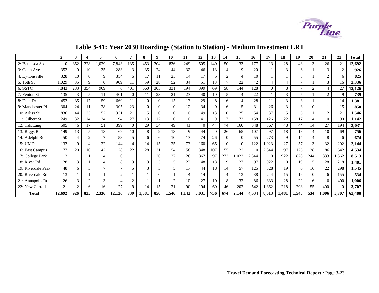

<span id="page-52-0"></span>

|                    | $\overline{2}$ | 3              | 4              | 5              | 6             |          | 8              | 9        | 10       | 11             | 12       | 13       | 14                          | 15             | 16    | 17       | 18             | 19             | 20             | 21             | 22             | <b>Total</b> |
|--------------------|----------------|----------------|----------------|----------------|---------------|----------|----------------|----------|----------|----------------|----------|----------|-----------------------------|----------------|-------|----------|----------------|----------------|----------------|----------------|----------------|--------------|
| 2: Bethesda So     |                | 352            | 328            | 1,029          | 7,843         | 135      | 453            | 304      | 836      | 249            | 505      | 149      | 50                          | 133            | 177   | 13       | 28             | 48             | 13             | 26             | 21             | 12,692       |
| 3: Conn Ave        | 352            | $\Omega$       | 10             | 35             | 283           | 3        | 35             | 24       | 44       | 32             | 46       | 13       | 4                           | 9              | 20    |          | 3              | 6              |                | 3              | $\overline{2}$ | 926          |
| 4: Lyttonsville    | 328            | 10             | $\Omega$       | 9              | 354           | 5        | 17             |          | 25       | 14             | 17       | 5        | $\overline{2}$              | $\overline{4}$ | 10    |          |                | 3              |                | $\gamma$       | 6              | 825          |
| 5: 16th St         | 1,029          | 35             | 9              | $\Omega$       | 909           | 11       | 59             | 28       | 52       | 34             | 51       | l 3      | $\overline{7}$              | 22             | 42    | 4        | $\overline{4}$ | $\overline{7}$ |                | 3              | 16             | 2,336        |
| 6: SSTC            | 7,843          | 283            | 354            | 909            | $\Omega$      | 401      | 660            | 305      | 331      | 194            | 399      | 69       | 58                          | 144            | 128   | $\Omega$ | 8              | $\overline{7}$ | $\overline{2}$ | $\overline{4}$ | 27             | 12,126       |
| 7: Fenton St       | 135            | $\mathcal{R}$  |                | 11             | 401           | $\Omega$ | 11             | 23       | 21       | 27             | 40       | 10       | 5                           | 4              | 22    |          | 3              | 5              |                | 2              | 9              | 739          |
| 8: Dale Dr         | 453            | 35             | 17             | 59             | 660           | 11       | $\Omega$       | 0        | 15       | 13             | 29       | 8        | 6                           | 14             | 28    | 11       | 3              | 3              |                |                | 14             | 1,381        |
| 9: Manchester Pl   | 304            | 24             |                | 28             | 305           | 23       | $\overline{0}$ | 0        | $\theta$ | 12             | 34       | 9        | 6                           | 15             | 31    | 26       | $\mathfrak{Z}$ | 3              | $\Omega$       |                | 15             | 850          |
| 10: Arliss St      | 836            | 44             | 25             | 52             | 331           | 21       | 15             | 0        | $\Omega$ | $\Omega$       | 49       | 13       | 10                          | 25             | 54    | 37       | 5              | 5              |                | 2              | 21             | 1,546        |
| 11: Gilbert St     | 249            | 32             | 14             | 34             | 194           | 27       | 13             | 12       | $\Omega$ | $\Omega$       | 41       | 9        | 17                          | 73             | 158   | 126      | 22             | 17             | 4              | 10             | 90             | 1,142        |
| 12: Tak/Lang       | 505            | 46             | 17             | 51             | 399           | 40       | 29             | 34       | 49       | 41             | $\Omega$ | 44       | 74                          | 160            | 348   | 867      | 48             | 44             | 14             | 27             | 194            | 3,031        |
| 13: Riggs Rd       | 149            | 13             | 5              | 13             | 69            | 10       | 8              | 9        | 13       | 9              | 44       | $\Omega$ | 26                          | 65             | 107   | 97       | 18             | 18             | 4              | 10             | 69             | 756          |
| 14: Adelphi Rd     | 50             | $\overline{4}$ | 2              | 7              | 58            | 5        | 6              | 6        | 10       | 17             | 74       | 26       | $\Omega$                    | $\Omega$       | 55    | 273      | 9              | 14             | $\overline{4}$ | 8              | 46             | 674          |
| 15: UMD            | 133            | 9              |                | 22             | 144           | 4        | 14             | 15       | 25       | 73             | 160      | 65       | $\Omega$                    | $\Omega$       | 122   | 1,023    | 27             | 57             | 13             | 32             | 202            | 2,144        |
| 16: East Campus    | 177            | 20             | 10             | 42             | 128           | 22       | 28             | 31       | 54       | 158            | 348      | 107      | 55                          | 122            |       | 2,344    | 97             | 125            | 38             | 86             | 542            | 4,534        |
| 17: College Park   | 13             |                |                | $\overline{4}$ | $\Omega$      |          | 11             | 26       | 37       | 126            | 867      | 97       | 273                         | ,023           | 2,344 | $\theta$ | 922            | 828            | 244            | 333            | 1,362          | 8,513        |
| 18: River Rd       | 28             | 3              |                | 4              | 8             | 3        | $\mathfrak{Z}$ | 3        | 5        | 22             | 48       | 18       | 9                           | 27             | 97    | 922      | $\Omega$       | 19             | 15             | 28             | 218            | 1,481        |
| 19: Riverdale Park | 48             | 6              | 3              |                | 7             | 5        | 3              | 3        | 5        | 17             | 44       | 18       | 14                          | 57             | 125   | 828      | 19             | $\Omega$       | 16             | 22             | 298            | 1,545        |
| 20: Riverdale Rd   | 13             |                |                |                | $\mathcal{D}$ |          |                | $\theta$ |          | $\overline{4}$ | 14       | 4        | $\boldsymbol{\vartriangle}$ | 13             | 38    | 244      | 15             | 16             | $\Omega$       | 6              | 155            | 534          |
| 21: Annapolis Rd   | 26             | 3              | $\overline{c}$ | $\mathcal{R}$  | 4             | 2        |                |          | 2        | 10             | 27       | 10       | 8                           | 32             | 86    | 333      | 28             | 22             | 6              | $\Omega$       | 400            | 1,006        |
| 22: New Carroll    | 21             | $\overline{2}$ | 6              | 16             | 27            | 9        | 14             | 15       | 21       | 90             | 194      | 69       | 46                          | 202            | 542   | 1,362    | 218            | 298            | 155            | 400            | $\theta$       | 3,707        |
| <b>Total</b>       | 12,692         | 926            | 825            | 2,336          | 12,126        | 739      | 1,381          | 850      | 1,546    | 1,142          | 3,031    | 756      | 674                         | 2,144          | 4,534 | 8,513    | 1,481          | 1,545          | 534            | 1,006          | 3,707          | 62,488       |

# **Table 3-41: Year 2030 Boardings (Station to Station) - Medium Investment LRT**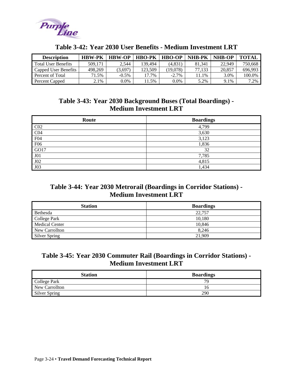<span id="page-53-0"></span>

| <b>Description</b>         | <b>HBW-PK</b> | <b>HBW-OP</b> | <b>HBO-PK</b> | <b>HBO-OP</b> | <b>NHB-PK</b> | <b>NHB-OP</b> | ТОТАІ   |
|----------------------------|---------------|---------------|---------------|---------------|---------------|---------------|---------|
| <b>Total User Benefits</b> | 509.171       | 2.544         | 139.494       | (4.831)       | 81.341        | 22.949        | 750.668 |
| Capped User Benefits       | 498.269       | 3,697         | 123.509       | (19.078)      | 77.133        | 20,857        | 696.993 |
| Percent of Total           | 71.5%         | $-0.5\%$      | 17.7%         | $-2.7\%$      | 11.1%         | 3.0%          | 100.0%  |
| Percent Capped             | 2.1%          | 0.0%          | 1.5%          | $0.0\%$       | 5.2%          | 9.1%          | 7.2%    |

#### **Table 3-42: Year 2030 User Benefits - Medium Investment LRT**

#### **Table 3-43: Year 2030 Background Buses (Total Boardings) - Medium Investment LRT**

| Route           | <b>Boardings</b> |
|-----------------|------------------|
| CO <sub>2</sub> | 4,799            |
| CO <sub>4</sub> | 3,630            |
| F04             | 3,123            |
| F06             | 1,836            |
| GO17            | 32               |
| J <sub>01</sub> | 7,785            |
| J02             | 4,815            |
| J03             | 1,434            |

#### **Table 3-44: Year 2030 Metrorail (Boardings in Corridor Stations) - Medium Investment LRT**

| <b>Station</b>        | <b>Boardings</b> |
|-----------------------|------------------|
| Bethesda              | 22,757           |
| College Park          | 10,180           |
| <b>Medical Center</b> | 10,846           |
| New Carrollton        | 8.246            |
| <b>Silver Spring</b>  | 21,909           |

#### **Table 3-45: Year 2030 Commuter Rail (Boardings in Corridor Stations) - Medium Investment LRT**

| <b>Station</b>       | <b>Boardings</b> |
|----------------------|------------------|
| College Park         | 70               |
| New Carrollton       |                  |
| <b>Silver Spring</b> | 290              |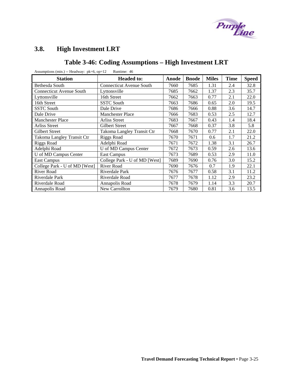

# <span id="page-54-0"></span>**3.8. High Investment LRT**

### **Table 3-46: Coding Assumptions – High Investment LRT**

| <b>Station</b>                  | <b>Headed to:</b>               | Anode | <b>Bnode</b> | <b>Miles</b> | <b>Time</b> | <b>Speed</b> |
|---------------------------------|---------------------------------|-------|--------------|--------------|-------------|--------------|
| Bethesda South                  | <b>Connecticut Avenue South</b> | 7660  | 7685         | 1.31         | 2.4         | 32.8         |
| <b>Connecticut Avenue South</b> | Lyttonsville                    | 7685  | 7662         | 1.37         | 2.3         | 35.7         |
| Lyttonsville                    | 16th Street                     | 7662  | 7663         | 0.77         | 2.1         | 22.0         |
| 16th Street                     | <b>SSTC South</b>               | 7663  | 7686         | 0.65         | 2.0         | 19.5         |
| <b>SSTC South</b>               | Dale Drive                      | 7686  | 7666         | 0.88         | 3.6         | 14.7         |
| Dale Drive                      | <b>Manchester Place</b>         | 7666  | 7683         | 0.53         | 2.5         | 12.7         |
| <b>Manchester Place</b>         | Arliss Street                   | 7683  | 7667         | 0.43         | 1.4         | 18.4         |
| <b>Arliss Street</b>            | <b>Gilbert Street</b>           | 7667  | 7668         | 0.37         | 3.8         | 5.8          |
| <b>Gilbert Street</b>           | Takoma Langley Transit Ctr      | 7668  | 7670         | 0.77         | 2.1         | 22.0         |
| Takoma Langley Transit Ctr      | <b>Riggs Road</b>               | 7670  | 7671         | 0.6          | 1.7         | 21.2         |
| Riggs Road                      | Adelphi Road                    | 7671  | 7672         | 1.38         | 3.1         | 26.7         |
| Adelphi Road                    | U of MD Campus Center           | 7672  | 7673         | 0.59         | 2.6         | 13.6         |
| U of MD Campus Center           | <b>East Campus</b>              | 7673  | 7689         | 0.53         | 2.9         | 11.0         |
| <b>East Campus</b>              | College Park - U of MD [West]   | 7689  | 7690         | 0.76         | 3.0         | 15.2         |
| College Park - U of MD [West]   | <b>River Road</b>               | 7690  | 7676         | 0.7          | 1.9         | 22.1         |
| River Road                      | Riverdale Park                  | 7676  | 7677         | 0.58         | 3.1         | 11.2         |
| Riverdale Park                  | Riverdale Road                  | 7677  | 7678         | 1.12         | 2.9         | 23.2         |
| Riverdale Road                  | Annapolis Road                  | 7678  | 7679         | 1.14         | 3.3         | 20.7         |
| Annapolis Road                  | New Carrollton                  | 7679  | 7680         | 0.81         | 3.6         | 13.5         |

Assumptions (min.) -- Headway: pk=6, op=12 Runtime: 46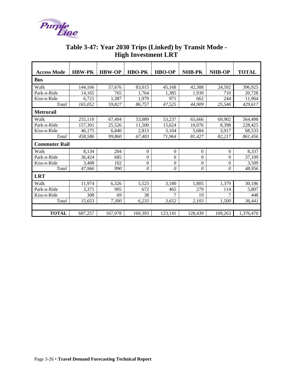<span id="page-55-0"></span>

|                      |               | ິ             |                |                  |                  |                  |              |
|----------------------|---------------|---------------|----------------|------------------|------------------|------------------|--------------|
| <b>Access Mode</b>   | <b>HBW-PK</b> | <b>HBW-OP</b> | <b>HBO-PK</b>  | <b>HBO-OP</b>    | NHB-PK           | <b>NHB-OP</b>    | <b>TOTAL</b> |
| <b>Bus</b>           |               |               |                |                  |                  |                  |              |
| Walk                 | 144,166       | 57,676        | 83,015         | 45,168           | 42,308           | 24,592           | 396,925      |
| Park-n-Ride          | 14,165        | 765           | 1,764          | 1,385            | 1,939            | 710              | 20,728       |
| Kiss-n-Ride          | 6,721         | 1,387         | 1,979          | 971              | 662              | 244              | 11,964       |
| Total                | 165,052       | 59,827        | 86,757         | 47,525           | 44,909           | 25,546           | 429,617      |
| <b>Metrorail</b>     |               |               |                |                  |                  |                  |              |
| Walk                 | 255,110       | 67,494        | 53,089         | 53,237           | 65,666           | 69,902           | 564,498      |
| Park-n-Ride          | 157,301       | 25,526        | 11,500         | 15,624           | 10,076           | 8,398            | 228,425      |
| Kiss-n-Ride          | 46,175        | 6,840         | 2,813          | 3,104            | 5,684            | 3,917            | 68,533       |
| Total                | 458,586       | 99,860        | 67,403         | 71,964           | 81,427           | 82,217           | 861,456      |
| <b>Commuter Rail</b> |               |               |                |                  |                  |                  |              |
| Walk                 | 8,134         | 204           | $\mathbf{0}$   | $\boldsymbol{0}$ | $\overline{0}$   | $\boldsymbol{0}$ | 8,337        |
| Park-n-Ride          | 36,424        | 685           | 0              | $\mathbf{0}$     | $\boldsymbol{0}$ | $\mathbf{0}$     | 37,109       |
| Kiss-n-Ride          | 3,408         | 102           | $\overline{0}$ | $\overline{0}$   | $\overline{0}$   | $\boldsymbol{0}$ | 3,509        |
| Total                | 47,966        | 990           | $\theta$       | 0                | 0                | $\theta$         | 48,956       |
| <b>LRT</b>           |               |               |                |                  |                  |                  |              |
| Walk                 | 11,974        | 6,326         | 5,523          | 3,180            | 1,805            | 1,379            | 30,186       |
| Park-n-Ride          | 3,371         | 905           | 672            | 465              | 279              | 114              | 5,807        |
| Kiss-n-Ride          | 308           | 69            | 38             | 7                | 19               | $\overline{7}$   | 448          |
| Total                | 15,653        | 7,300         | 6,233          | 3,652            | 2,103            | 1,500            | 36,441       |
|                      |               |               |                |                  |                  |                  |              |
| <b>TOTAL</b>         | 687,257       | 167,978       | 160,393        | 123,141          | 128,439          | 109,263          | 1,376,470    |

### **Table 3-47: Year 2030 Trips (Linked) by Transit Mode - High Investment LRT**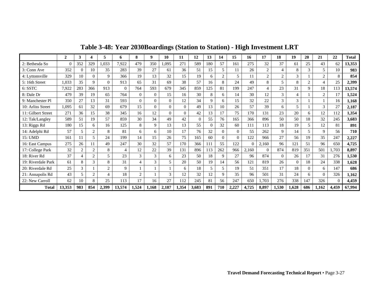<span id="page-56-0"></span>

|                    | $\overline{2}$ | 3              | 4              | 5                        | 6        | 8              | 9        | 10       | 11       | 12             | 13       | 14       | 15       | 16       | 17             | 18             | 19       | 20             | 21             | 22       | <b>Total</b> |
|--------------------|----------------|----------------|----------------|--------------------------|----------|----------------|----------|----------|----------|----------------|----------|----------|----------|----------|----------------|----------------|----------|----------------|----------------|----------|--------------|
| 2: Bethesda So     | $\Omega$       | 352            | 329            | 1,033                    | 7,922    | 479            | 350      | 1,095    | 271      | 589            | 180      | 57       | 161      | 275      | 32             | 37             | 61       | 25             | 43             | 62       | 13,353       |
| 3: Conn Ave        | 352            | $\overline{0}$ | 10             | 35                       | 283      | 39             | 27       | 61       | 36       | 51             | 15       | 5        |          | 26       | $\overline{2}$ | 4              | 8        | $\mathcal{R}$  | 5              | 10       | 983          |
| 4: Lyttonsville    | 329            | 10             | $\overline{0}$ | 9                        | 366      | 19             | 13       | 32       | 15       | 19             | 6        | 2        | 5        | 11       | $\overline{c}$ | $\overline{2}$ | 3        |                | ◠              | 8        | 854          |
| 5: 16th Street     | 1,033          | 35             | $\mathbf Q$    | $\Omega$                 | 913      | 65             | 31       | 69       | 38       | 57             | 16       | 8        | 24       | 49       | 8              | 5              | 8        | $\overline{2}$ |                | 25       | 2,399        |
| 6: SSTC            | 7,922          | 283            | 366            | 913                      | $\Omega$ | 764            | 593      | 679      | 345      | 859            | 125      | 81       | 199      | 247      | 4              | 23             | 31       | $\mathbf Q$    | 18             | 113      | 13,574       |
| 8: Dale Dr         | 479            | 39             | 19             | 65                       | 764      | $\mathbf{0}$   | $\theta$ | 15       | 16       | 30             | 8        | 6        | 14       | 30       | 12             | 3              | 4        |                | $\overline{2}$ | 17       | 1,524        |
| 9: Manchester Pl   | 350            | 27             | 13             | 31                       | 593      | $\Omega$       | 0        | $\Omega$ | 12       | 34             | 9        | 6        | 15       | 32       | 22             | 3              | 3        |                |                | 16       | 1,168        |
| 10: Arliss Street  | 1,095          | 61             | 32             | 69                       | 679      | 15             | $\theta$ | $\Omega$ | $\theta$ | 49             | 13       | 10       | 26       | 57       | 39             | 6              | 5        |                | 3              | 27       | 2,187        |
| 11: Gilbert Street | 271            | 36             | 15             | 38                       | 345      | 16             | 12       | $\theta$ | $\theta$ | 42             | 13       | 17       | 75       | 170      | 131            | 23             | 20       | 6              | 12             | 112      | 1,354        |
| 12: Tak/Langley    | 589            | 51             | 19             | 57                       | 859      | 30             | 34       | 49       | 42       | $\overline{0}$ | 55       | 76       | 165      | 366      | 896            | 50             | 50       | 18             | 32             | 245      | 3,683        |
| 13: Riggs Rd       | 180            | 15             | 6              | 16                       | 125      | 8              | 9        | 13       | 13       | 55             | $\Omega$ | 32       | 60       | 111      | 113            | 18             | 19       | 5              | 12             | 81       | 891          |
| 14: Adelphi Rd     | 57             | 5              | 2              | 8                        | 81       | 6              | 6        | 10       | 17       | 76             | 32       | $\Omega$ | $\Omega$ | 55       | 262            | 9              | 14       | 5              | Q              | 56       | 710          |
| 15: UMD            | 161            | 11             | 5              | 24                       | 199      | 14             | 15       | 26       | 75       | 165            | 60       | $\Omega$ | $\Omega$ | 122      | 966            | 27             | 56       | 19             | 35             | 247      | 2,227        |
| 16: East Campus    | 275            | 26             | 11             | 49                       | 247      | 30             | 32       | 57       | 170      | 366            | 111      | 55       | 122      | $\Omega$ | 2,160          | 96             | 121      | 51             | 96             | 650      | 4,725        |
| 17: College Park   | 32             | 2              | $\overline{2}$ | 8                        | 4        | 12             | 22       | 39       | 131      | 896            | 113      | 262      | 966      | 2,160    | $\mathbf{0}$   | 874            | 819      | 351            | 501            | .703     | 8,897        |
| 18: River Rd       | 37             |                | $\overline{2}$ | 5                        | 23       | 3              | 3        | 6        | 23       | 50             | 18       | 9        | 27       | 96       | 874            | $\Omega$       | 26       | 17             | 31             | 276      | 1,530        |
| 19: Riverdale Park | 61             | 8              | 3              | 8                        | 31       | 4              | 3        | 5        | 20       | 50             | 19       | 14       | 56       | 121      | 819            | 26             | $\Omega$ | 18             | 24             | 338      | 1,628        |
| 20: Riverdale Rd   | 25             | 3              |                | $\overline{2}$           | 9        |                |          |          | 6        | 18             | 5        | 5        | 19       | 51       | 351            | 17             | 18       | $\Omega$       | 6              | 147      | 686          |
| 21: Annapolis Rd   | 43             | 5              | $\overline{2}$ | $\overline{\mathcal{A}}$ | 18       | $\overline{2}$ |          | 3        | 12       | 32             | 12       | 9        | 35       | 96       | 501            | 31             | 24       | 6              | $\Omega$       | 326      | 1,162        |
| 22: New Carroll    | 62             | 10             | 8              | 25                       | 113      | 17             | 16       | 27       | 112      | 245            | 81       | 56       | 247      | 650      | 1,703          | 276            | 338      | 147            | 326            | $\Omega$ | 4,459        |
| <b>Total</b>       | 13,353         | 983            | 854            | 2,399                    | 13,574   | 1,524          | 1.168    | 2,187    | 1,354    | 3,683          | 891      | 710      | 2,227    | 4,725    | 8,897          | 1,530          | 1,628    | 686            | 1,162          | 4,459    | 67,994       |

**Table 3-48: Year 2030Boardings (Station to Station) - High Investment LRT**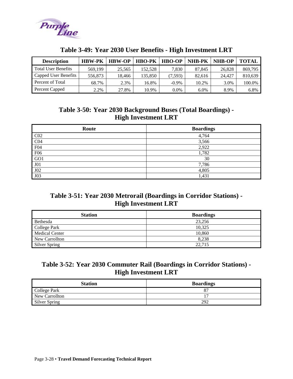<span id="page-57-0"></span>

| <b>Description</b>         | <b>HBW-PK</b> | <b>HBW-OP</b> | <b>HBO-PK</b> | <b>HBO-OP</b> | <b>NHB-PK</b> | <b>NHB-OP</b> | <b>TOTAL</b> |
|----------------------------|---------------|---------------|---------------|---------------|---------------|---------------|--------------|
| <b>Total User Benefits</b> | 569,199       | 25,565        | 152.528       | 7.830         | 87.845        | 26,828        | 869,795      |
| Capped User Benefits       | 556.873       | 18.466        | 135.850       | (7, 593)      | 82.616        | 24,427        | 810,639      |
| Percent of Total           | 68.7%         | 2.3%          | 16.8%         | $-0.9\%$      | 10.2%         | 3.0%          | 100.0%       |
| Percent Capped             | 2.2%          | 27.8%         | 10.9%         | $0.0\%$       | 6.0%          | 8.9%          | 6.8%         |

#### **Table 3-49: Year 2030 User Benefits - High Investment LRT**

### **Table 3-50: Year 2030 Background Buses (Total Boardings) - High Investment LRT**

| Route           | <b>Boardings</b> |
|-----------------|------------------|
| CO <sub>2</sub> | 4,764            |
| CO <sub>4</sub> | 3,566            |
| F04             | 2,922            |
| F <sub>06</sub> | 1,782            |
| GO1             | 30               |
| J01             | 7,786            |
| J02             | 4,805            |
| J03             | 1,431            |

#### **Table 3-51: Year 2030 Metrorail (Boardings in Corridor Stations) - High Investment LRT**

| <b>Station</b>        | <b>Boardings</b> |
|-----------------------|------------------|
| Bethesda              | 23.256           |
| College Park          | 10,325           |
| <b>Medical Center</b> | 10,860           |
| New Carrollton        | 8.238            |
| <b>Silver Spring</b>  | 22,715           |

### **Table 3-52: Year 2030 Commuter Rail (Boardings in Corridor Stations) - High Investment LRT**

| <b>Station</b> | <b>Boardings</b> |
|----------------|------------------|
| College Park   |                  |
| New Carrollton |                  |
| Silver Spring  | 292              |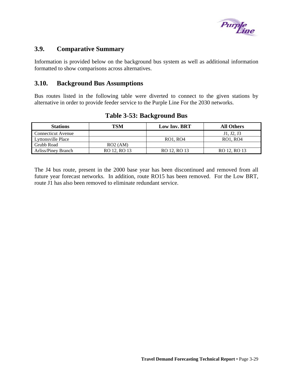

#### <span id="page-58-0"></span>**3.9. Comparative Summary**

Information is provided below on the background bus system as well as additional information formatted to show comparisons across alternatives.

#### **3.10. Background Bus Assumptions**

Bus routes listed in the following table were diverted to connect to the given stations by alternative in order to provide feeder service to the Purple Line For the 2030 networks.

| <b>Stations</b>     | TSM          | <b>Low Inv. BRT</b> | <b>All Others</b> |
|---------------------|--------------|---------------------|-------------------|
| Connecticut Avenue  |              |                     | J1, J2, J3        |
| Lyttonsville Place  |              | RO1, RO4            | RO1, RO4          |
| Grubb Road          | RO2 (AM)     |                     |                   |
| Arliss/Piney Branch | RO 12, RO 13 | RO 12, RO 13        | RO 12, RO 13      |

#### **Table 3-53: Background Bus**

The J4 bus route, present in the 2000 base year has been discontinued and removed from all future year forecast networks. In addition, route RO15 has been removed. For the Low BRT, route J1 has also been removed to eliminate redundant service.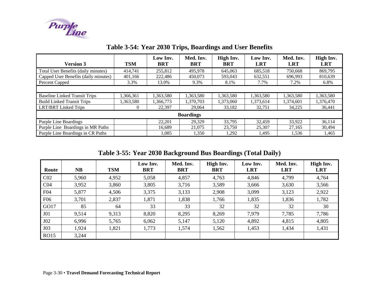

| <b>Version 3</b>                     | <b>TSM</b> | Low Inv.<br><b>BRT</b> | Med. Inv.<br><b>BRT</b> | High Inv.<br><b>BRT</b> | Low Inv.<br><b>LRT</b> | Med. Inv.<br><b>LRT</b> | High Inv.<br><b>LRT</b> |  |  |  |
|--------------------------------------|------------|------------------------|-------------------------|-------------------------|------------------------|-------------------------|-------------------------|--|--|--|
|                                      |            |                        |                         |                         |                        |                         |                         |  |  |  |
| Total User Benefits (daily minutes)  | 414.741    | 255,812                | 495.978                 | 645,063                 | 685.518                | 750.668                 | 869,795                 |  |  |  |
| Capped User Benefits (daily minutes) | 401,166    | 222,486                | 450.073                 | 593,043                 | 632,551                | 696.993                 | 810,639                 |  |  |  |
| Percent Capped                       | 3.3%       | 13.0%                  | 9.3%                    | 8.1%                    | 7.7%                   | 7.2%                    | 6.8%                    |  |  |  |
|                                      |            |                        |                         |                         |                        |                         |                         |  |  |  |
| <b>Baseline Linked Transit Trips</b> | 1.366.361  | 1,363,580              | 1,363,580               | 1,363,580               | 1,363,580              | 1,363,580               | 1,363,580               |  |  |  |
| <b>Build Linked Transit Trips</b>    | 1,363,580  | 1,366,773              | 1.370.703               | 1.373.060               | 1,373,614              | 1,374,601               | 1,376,470               |  |  |  |
| <b>LRT/BRT</b> Linked Trips          |            | 22,397                 | 29,064                  | 33,182                  | 32,751                 | 34,225                  | 36,441                  |  |  |  |
| <b>Boardings</b>                     |            |                        |                         |                         |                        |                         |                         |  |  |  |
| <b>Purple Line Boardings</b>         |            | 22,201                 | 29,329                  | 33,795                  | 32,459                 | 33,922                  | 36,114                  |  |  |  |
| Purple Line Boardings in MR Paths    |            | 16.689                 | 21,075                  | 23,750                  | 25,307                 | 27,165                  | 30.494                  |  |  |  |
| Purple Line Boardings in CR Paths    |            | 1,085                  | 1,350                   | 1,292                   | 1,495                  | 1,536                   | 1,465                   |  |  |  |

# **Table 3-54: Year 2030 Trips, Boardings and User Benefits**

**Table 3-55: Year 2030 Background Bus Boardings (Total Daily)** 

<span id="page-59-0"></span>

| Route           | <b>NB</b> | <b>TSM</b> | Low Inv.<br><b>BRT</b> | Med. Inv.<br><b>BRT</b> | High Inv.<br><b>BRT</b> | Low Inv.<br><b>LRT</b> | Med. Inv.<br><b>LRT</b> | High Inv.<br><b>LRT</b> |
|-----------------|-----------|------------|------------------------|-------------------------|-------------------------|------------------------|-------------------------|-------------------------|
| CO <sub>2</sub> | 5,960     | 4,952      | 5,058                  | 4,857                   | 4,763                   | 4,846                  | 4,799                   | 4,764                   |
| CO <sub>4</sub> | 3,952     | 3,860      | 3,805                  | 3,716                   | 3,589                   | 3,666                  | 3,630                   | 3,566                   |
| F04             | 5,877     | 4,506      | 3,375                  | 3,133                   | 2,908                   | 3,099                  | 3,123                   | 2,922                   |
| <b>F06</b>      | 3,701     | 2,837      | 1,871                  | 1,838                   | 1,766                   | 1,835                  | 1,836                   | 1,782                   |
| GO17            | 85        | 64         | 33                     | 33                      | 32                      | 32                     | 32                      | 30                      |
| J <sub>01</sub> | 9,514     | 9,313      | 8,820                  | 8,295                   | 8,269                   | 7,979                  | 7,785                   | 7,786                   |
| J02             | 6,996     | 5,765      | 6,062                  | 5,147                   | 5,120                   | 4,892                  | 4,815                   | 4,805                   |
| J03             | 1,924     | 1,821      | 1,773                  | 1,574                   | 1,562                   | 1,453                  | 1,434                   | 1,431                   |
| <b>RO15</b>     | 3,244     |            |                        |                         |                         |                        |                         |                         |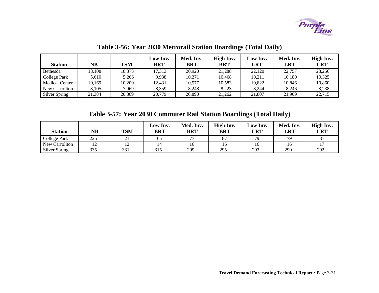

| <b>Station</b>        | NB     | <b>TSM</b> | Low Inv.<br><b>BRT</b> | Med. Inv.<br><b>BRT</b> | High Inv.<br><b>BRT</b> | Low Inv.<br><b>LRT</b> | Med. Inv.<br><b>LRT</b> | High Inv.<br><b>LRT</b> |
|-----------------------|--------|------------|------------------------|-------------------------|-------------------------|------------------------|-------------------------|-------------------------|
| Bethesda              | 18.108 | 18,373     | 17.313                 | 20.920                  | 21,288                  | 22,120                 | 22,757                  | 23,256                  |
| College Park          | 5,610  | 5.266      | 9.938                  | 10.271                  | 10.468                  | 10.211                 | 10,180                  | 10,325                  |
| <b>Medical Center</b> | 10.169 | 10.200     | 12.431                 | 10,577                  | 10,583                  | 10.822                 | 10.846                  | 10,860                  |
| New Carrollton        | 8,105  | 7.969      | 8.359                  | 8.248                   | 8.223                   | 8.244                  | 8.246                   | 8,238                   |
| <b>Silver Spring</b>  | 21,384 | 20,869     | 20,779                 | 20,890                  | 21,262                  | 21,807                 | 21,909                  | 22,715                  |

**Table 3-56: Year 2030 Metrorail Station Boardings (Total Daily)** 

**Table 3-57: Year 2030 Commuter Rail Station Boardings (Total Daily)** 

<span id="page-60-0"></span>

| <b>Station</b> | $\overline{\text{NB}}$ | <b>TSM</b>              | Low Inv.<br><b>BRT</b> | Med. Inv.<br><b>BRT</b>  | High Inv.<br><b>BRT</b> | Low Inv.<br>LRT | Med. Inv.<br><b>LRT</b> | High Inv.<br><b>LRT</b> |
|----------------|------------------------|-------------------------|------------------------|--------------------------|-------------------------|-----------------|-------------------------|-------------------------|
| College Park   | 225                    | $^{\sim}$ 1<br>$\sim$ 1 | ნა                     | $\overline{\phantom{a}}$ | 87                      | 79              | 79                      | 87                      |
| New Carrollton |                        |                         |                        | 10                       | Iб                      | 10              | 16                      |                         |
| Silver Spring  | 335                    | 331                     | 315                    | 299                      | 295                     | 293             | 290                     | 292                     |